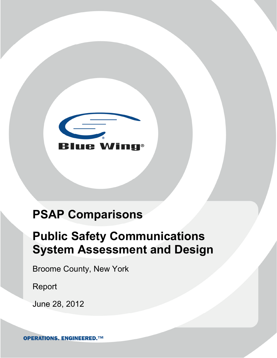

# **PSAP Comparisons**

# **Public Safety Communications System Assessment and Design**

Broome County, New York

Report

June 28, 2012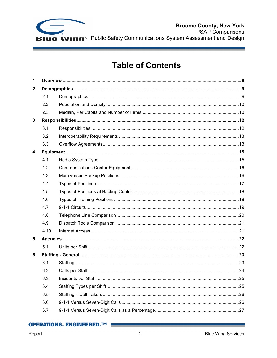

**Broome County, New York PSAP Comparisons** Wing<sup>®</sup> Public Safety Communications System Assessment and Design

## **Table of Contents**

| $\mathbf{1}$ |      |  |  |
|--------------|------|--|--|
| $\mathbf{2}$ |      |  |  |
|              | 2.1  |  |  |
|              | 2.2  |  |  |
|              | 2.3  |  |  |
| 3            |      |  |  |
|              | 3.1  |  |  |
|              | 3.2  |  |  |
|              | 3.3  |  |  |
| 4            |      |  |  |
|              | 4.1  |  |  |
|              | 4.2  |  |  |
|              | 4.3  |  |  |
|              | 4.4  |  |  |
|              | 4.5  |  |  |
|              | 4.6  |  |  |
|              | 4.7  |  |  |
|              | 4.8  |  |  |
|              | 4.9  |  |  |
|              | 4.10 |  |  |
| 5            |      |  |  |
|              | 5.1  |  |  |
| 6            |      |  |  |
|              | 6.1  |  |  |
|              | 6.2  |  |  |
|              | 6.3  |  |  |
|              | 6.4  |  |  |
|              | 6.5  |  |  |
|              | 6.6  |  |  |
|              | 6.7  |  |  |
|              |      |  |  |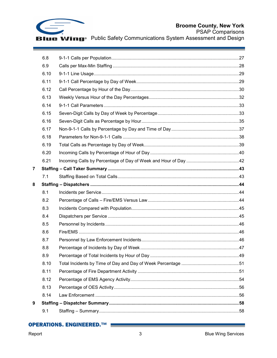

## **Broome County, New York**

PSAP Comparisons<br>
Blue Wing<sup>®</sup> Public Safety Communications System Assessment and Design

|   | 6.8  |  |
|---|------|--|
|   | 6.9  |  |
|   | 6.10 |  |
|   | 6.11 |  |
|   | 6.12 |  |
|   | 6.13 |  |
|   | 6.14 |  |
|   | 6.15 |  |
|   | 6.16 |  |
|   | 6.17 |  |
|   | 6.18 |  |
|   | 6.19 |  |
|   | 6.20 |  |
|   | 6.21 |  |
| 7 |      |  |
|   | 7.1  |  |
| 8 |      |  |
|   | 8.1  |  |
|   | 8.2  |  |
|   | 8.3  |  |
|   | 8.4  |  |
|   | 8.5  |  |
|   | 8.6  |  |
|   | 8.7  |  |
|   | 8.8  |  |
|   | 8.9  |  |
|   | 8.10 |  |
|   | 8.11 |  |
|   | 8.12 |  |
|   | 8.13 |  |
|   | 8.14 |  |
| 9 |      |  |
|   | 9.1  |  |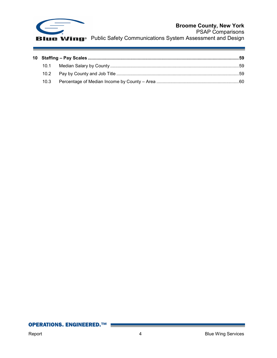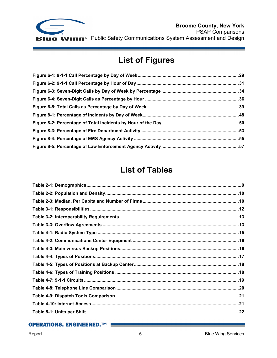

e

В

## **List of Figures**

## **List of Tables**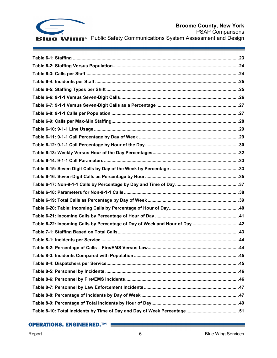

## **Broome County, New York**

PSAP Comparisons **Blue Wing**<sup>®</sup> Public Safety Communications System Assessment and Design

| 45 |
|----|
|    |
|    |
|    |
|    |
|    |
|    |
|    |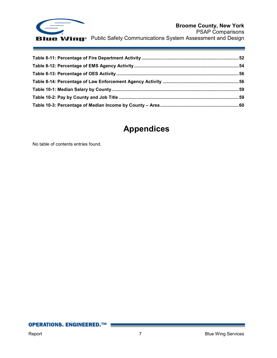

## **Appendices**

No table of contents entries found.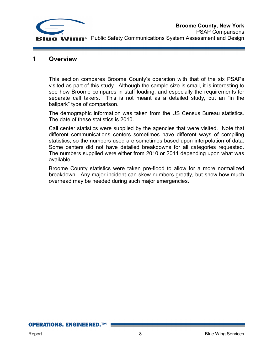

## **1 Overview**

This section compares Broome County's operation with that of the six PSAPs visited as part of this study. Although the sample size is small, it is interesting to see how Broome compares in staff loading, and especially the requirements for separate call takers. This is not meant as a detailed study, but an "in the ballpark" type of comparison.

The demographic information was taken from the US Census Bureau statistics. The date of these statistics is 2010.

Call center statistics were supplied by the agencies that were visited. Note that different communications centers sometimes have different ways of compiling statistics, so the numbers used are sometimes based upon interpolation of data. Some centers did not have detailed breakdowns for all categories requested. The numbers supplied were either from 2010 or 2011 depending upon what was available.

Broome County statistics were taken pre-flood to allow for a more normalized breakdown. Any major incident can skew numbers greatly, but show how much overhead may be needed during such major emergencies.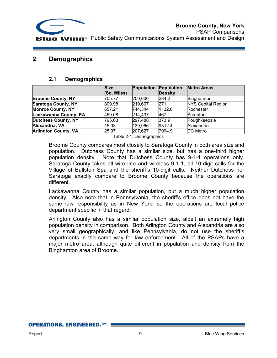

## **2 Demographics**

#### **2.1 Demographics**

|                             | <b>Size</b><br>(Sq. Miles) | <b>Population</b> | Population<br><b>Density</b> | <b>Metro Areas</b>        |
|-----------------------------|----------------------------|-------------------|------------------------------|---------------------------|
| <b>Broome County, NY</b>    | 705.77                     | 200,600           | 284.2                        | Binghamton                |
| <b>Saratoga County, NY</b>  | 809.98                     | 219,607           | 271.1                        | <b>NYS Capital Region</b> |
| <b>Monroe County, NY</b>    | 657.21                     | 744,344           | 1132.6                       | Rochester                 |
| Lackawanna County, PA       | 459.08                     | 214,437           | 467.1                        | Scranton                  |
| Dutchess County, NY         | 795.63                     | 297,488           | 373.9                        | Poughkeepsie              |
| Alexandria, VA              | 15.03                      | 139,966           | 9312.4                       | Alexandria                |
| <b>Arlington County, VA</b> | 25.97                      | 207,627           | 7994.9                       | DC Metro                  |

Table 2-1: Demographics

Broome County compares most closely to Saratoga County in both area size and population. Dutchess County has a similar size, but has a one-third higher population density. Note that Dutchess County has 9-1-1 operations only. Saratoga County takes all wire line and wireless 9-1-1, all 10-digit calls for the Village of Ballston Spa and the sheriff's 10-digit calls. Neither Dutchess nor Saratoga exactly compare to Broome County because the operations are different.

Lackawanna County has a similar population, but a much higher population density. Also note that in Pennsylvania, the sheriff's office does not have the same law responsibility as in New York, so the operations are local police department specific in that regard.

Arlington County also has a similar population size, albeit an extremely high population density in comparison. Both Arlington County and Alexandria are also very small geographically, and like Pennsylvania, do not use the sheriff's departments in the same way for law enforcement. All of the PSAPs have a major metro area, although quite different in population and density from the Binghamton area of Broome.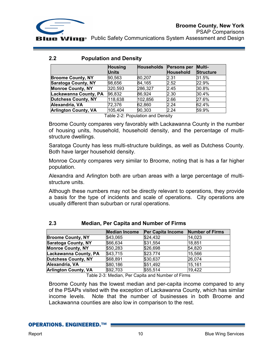

PSAP Comparisons **Public Safety Communications System Assessment and Design** 

#### **2.2 Population and Density**

|                             | <b>Housing</b><br><b>Units</b> | <b>Households</b> | <b>Persons per</b><br>Household | Multi-<br><b>Structure</b> |
|-----------------------------|--------------------------------|-------------------|---------------------------------|----------------------------|
| <b>Broome County, NY</b>    | 90,563                         | 80,207            | 2.31                            | 31.5%                      |
| <b>Saratoga County, NY</b>  | 98,656                         | 84,165            | 2.52                            | 22.9%                      |
| <b>Monroe County, NY</b>    | 320,593                        | 286,327           | 2.45                            | 30.8%                      |
| Lackawanna County, PA       | 96,832                         | 86,924            | 2.30                            | 30.4%                      |
| <b>Dutchess County, NY</b>  | 118,638                        | 102,856           | 2.66                            | 27.6%                      |
| Alexandria, VA              | 72,376                         | 62,860            | 2.24                            | 62.4%                      |
| <b>Arlington County, VA</b> | 105,404                        | 90,303            | 2.24                            | 59.9%                      |

Table 2-2: Population and Density

Broome County compares very favorably with Lackawanna County in the number of housing units, household, household density, and the percentage of multistructure dwellings.

Saratoga County has less multi-structure buildings, as well as Dutchess County. Both have larger household density.

Monroe County compares very similar to Broome, noting that is has a far higher population.

Alexandra and Arlington both are urban areas with a large percentage of multistructure units.

Although these numbers may not be directly relevant to operations, they provide a basis for the type of incidents and scale of operations. City operations are usually different than suburban or rural operations.

|                             | <b>Median Income</b> | Per Capita Income | <b>Number of Firms</b> |
|-----------------------------|----------------------|-------------------|------------------------|
| <b>Broome County, NY</b>    | \$43,065             | \$24,432          | 14,023                 |
| <b>Saratoga County, NY</b>  | \$66,634             | \$31,554          | 18,851                 |
| <b>Monroe County, NY</b>    | \$50,283             | \$26,698          | 54,820                 |
| Lackawanna County, PA       | \$43,715             | \$23.774          | 15,566                 |
| <b>Dutchess County, NY</b>  | \$68,891             | \$30,637          | 26,074                 |
| Alexandria, VA              | \$80,186             | \$51,492          | 15,161                 |
| <b>Arlington County, VA</b> | \$92,703             | \$55,514          | 19,422                 |

## **2.3 Median, Per Capita and Number of Firms**

Table 2-3: Median, Per Capita and Number of Firms

Broome County has the lowest median and per-capita income compared to any of the PSAPs visited with the exception of Lackawanna County, which has similar income levels. Note that the number of businesses in both Broome and Lackawanna counties are also low in comparison to the rest.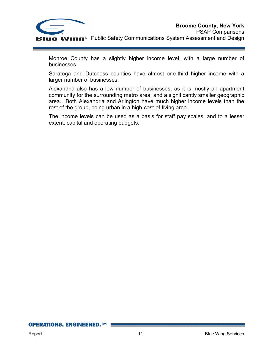

Monroe County has a slightly higher income level, with a large number of businesses.

Saratoga and Dutchess counties have almost one-third higher income with a larger number of businesses.

Alexandria also has a low number of businesses, as it is mostly an apartment community for the surrounding metro area, and a significantly smaller geographic area. Both Alexandria and Arlington have much higher income levels than the rest of the group, being urban in a high-cost-of-living area.

The income levels can be used as a basis for staff pay scales, and to a lesser extent, capital and operating budgets.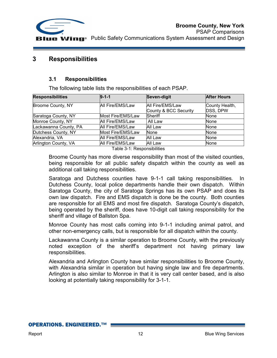

## **3 Responsibilities**

## **3.1 Responsibilities**

The following table lists the responsibilities of each PSAP.

| $9 - 1 - 1$       | Seven-digit                               | <b>After Hours</b>         |
|-------------------|-------------------------------------------|----------------------------|
| All Fire/EMS/Law  | All Fire/EMS/Law<br>County & BCC Security | County Health,<br>DSS, DPW |
| Most Fire/EMS/Law | Sheriff                                   | <b>None</b>                |
| All Fire/EMS/Law  | All Law                                   | None                       |
| All Fire/EMS/Law  | All Law                                   | <b>None</b>                |
| Most Fire/EMS/Law | <b>None</b>                               | <b>None</b>                |
| All Fire/EMS/Law  | All Law                                   | None                       |
| All Fire/EMS/Law  | All Law                                   | <b>None</b>                |
|                   |                                           |                            |

Table 3-1: Responsibilities

Broome County has more diverse responsibility than most of the visited counties, being responsible for all public safety dispatch within the county as well as additional call taking responsibilities.

Saratoga and Dutchess counties have 9-1-1 call taking responsibilities. In Dutchess County, local police departments handle their own dispatch. Within Saratoga County, the city of Saratoga Springs has its own PSAP and does its own law dispatch. Fire and EMS dispatch is done be the county. Both counties are responsible for all EMS and most fire dispatch. Saratoga County's dispatch, being operated by the sheriff, does have 10-digit call taking responsibility for the sheriff and village of Ballston Spa.

Monroe County has most calls coming into 9-1-1 including animal patrol, and other non-emergency calls, but is responsible for all dispatch within the county.

Lackawanna County is a similar operation to Broome County, with the previously noted exception of the sheriff's department not having primary law responsibilities.

Alexandria and Arlington County have similar responsibilities to Broome County, with Alexandria similar in operation but having single law and fire departments. Arlington is also similar to Monroe in that it is very call center based, and is also looking at potentially taking responsibility for 3-1-1.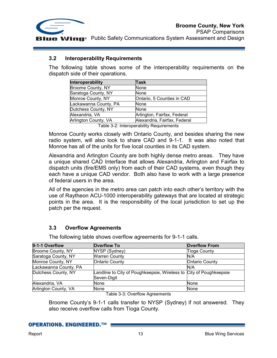

#### **3.2 Interoperability Requirements**

The following table shows some of the interoperability requirements on the dispatch side of their operations.

| Interoperability      | Task                         |
|-----------------------|------------------------------|
| Broome County, NY     | None                         |
| Saratoga County, NY   | None                         |
| Monroe County, NY     | Ontario, 5 Counties in CAD   |
| Lackawanna County, PA | None                         |
| Dutchess County, NY   | None                         |
| Alexandria, VA        | Arlington, Fairfax, Federal  |
| Arlington County, VA  | Alexandria, Fairfax, Federal |

Table 3-2: Interoperability Requirements

Monroe County works closely with Ontario County, and besides sharing the new radio system, will also look to share CAD and 9-1-1. It was also noted that Monroe has all of the units for five local counties in its CAD system.

Alexandria and Arlington County are both highly dense metro areas. They have a unique shared CAD Interface that allows Alexandria, Arlington and Fairfax to dispatch units (fire/EMS only) from each of their CAD systems, even though they each have a unique CAD vendor. Both also have to work with a large presence of federal users in the area.

All of the agencies in the metro area can patch into each other's territory with the use of Raytheon ACU-1000 interoperability gateways that are located at strategic points in the area. It is the responsibility of the local jurisdiction to set up the patch per the request.

## **3.3 Overflow Agreements**

The following table shows overflow agreements for 9-1-1 calls.

| 9-1-1 Overflow        | <b>Overflow To</b>                                                                | <b>Overflow From</b>  |
|-----------------------|-----------------------------------------------------------------------------------|-----------------------|
| Broome County, NY     | NYSP (Sydney)                                                                     | <b>Tioga County</b>   |
| Saratoga County, NY   | <b>Warren County</b>                                                              | N/A                   |
| Monroe County, NY     | <b>Ontario County</b>                                                             | <b>Ontario County</b> |
| Lackawanna County, PA |                                                                                   | N/A                   |
| Dutchess County, NY   | Landline to City of Poughkeepsie, Wireless to City of Poughkeepsie<br>Seven-Digit |                       |
| Alexandria, VA        | None                                                                              | <b>None</b>           |
| Arlington County, VA  | None                                                                              | None                  |

Table 3-3: Overflow Agreements

Broome County's 9-1-1 calls transfer to NYSP (Sydney) if not answered. They also receive overflow calls from Tioga County.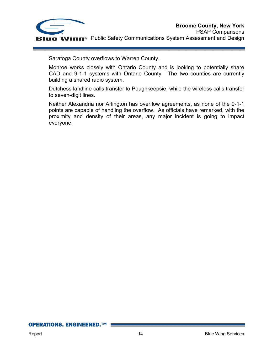

Saratoga County overflows to Warren County.

Monroe works closely with Ontario County and is looking to potentially share CAD and 9-1-1 systems with Ontario County. The two counties are currently building a shared radio system.

Dutchess landline calls transfer to Poughkeepsie, while the wireless calls transfer to seven-digit lines.

Neither Alexandria nor Arlington has overflow agreements, as none of the 9-1-1 points are capable of handling the overflow. As officials have remarked, with the proximity and density of their areas, any major incident is going to impact everyone.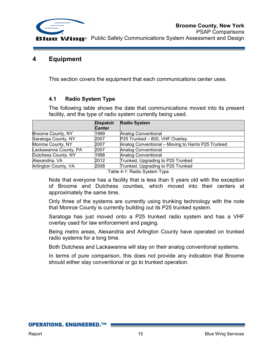

## **4 Equipment**

This section covers the equipment that each communications center uses.

## **4.1 Radio System Type**

The following table shows the date that communications moved into its present facility, and the type of radio system currently being used.

|                       | <b>Dispatch</b> | <b>Radio System</b>                                |
|-----------------------|-----------------|----------------------------------------------------|
|                       | <b>Center</b>   |                                                    |
| Broome County, NY     | 1999            | <b>Analog Conventional</b>                         |
| Saratoga County, NY   | 2007            | P25 Trunked - 800, VHF Overlay                     |
| Monroe County, NY     | 2007            | Analog Conventional – Moving to Harris P25 Trunked |
| Lackawanna County, PA | 2007            | <b>Analog Conventional</b>                         |
| Dutchess County, NY   | 1998            | <b>Analog Conventional</b>                         |
| Alexandria, VA        | 2012            | Trunked, Upgrading to P25 Trunked                  |
| Arlington County, VA  | 2008            | Trunked, Upgrading to P25 Trunked                  |
|                       |                 | Table 1 1. Dadis Custam Tupe                       |

Table 4-1: Radio System Type

Note that everyone has a facility that is less than 5 years old with the exception of Broome and Dutchess counties, which moved into their centers at approximately the same time.

Only three of the systems are currently using trunking technology with the note that Monroe County is currently building out its P25 trunked system.

Saratoga has just moved onto a P25 trunked radio system and has a VHF overlay used for law enforcement and paging.

Being metro areas, Alexandria and Arlington County have operated on trunked radio systems for a long time.

Both Dutchess and Lackawanna will stay on their analog conventional systems.

In terms of pure comparison, this does not provide any indication that Broome should either stay conventional or go to trunked operation.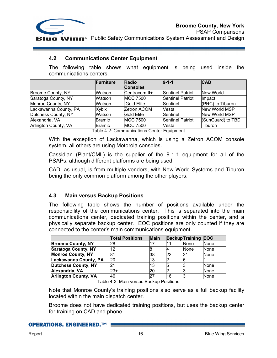

PSAP Comparisons **IIE Wing**<sup>®</sup> Public Safety Communications System Assessment and Design

#### **4.2 Communications Center Equipment**

The following table shows what equipment is being used inside the communications centers.

|                       | Furniture     | <b>Radio</b>      | $9 - 1 - 1$             | <b>CAD</b>        |
|-----------------------|---------------|-------------------|-------------------------|-------------------|
|                       |               | <b>Consoles</b>   |                         |                   |
| Broome County, NY     | Watson        | Centracom II+     | <b>Sentinel Patriot</b> | New World         |
| Saratoga County, NY   | Watson        | <b>MCC 7500</b>   | <b>Sentinel Patriot</b> | Impact            |
| Monroe County, NY     | Watson        | <b>Gold Elite</b> | Sentinel                | (PRC) to Tiburon  |
| Lackawanna County, PA | Xybix         | Zetron ACOM       | <b>Vesta</b>            | New World MSP     |
| Dutchess County, NY   | Watson        | Gold Elite        | Sentinel                | New World MSP     |
| Alexandria, VA        | <b>Bramic</b> | <b>MCC 7500</b>   | <b>Sentinel Patriot</b> | (SunGuard) to TBD |
| Arlington County, VA  | <b>Bramic</b> | <b>MCC 7500</b>   | Vesta                   | Tiburon           |

Table 4-2: Communications Center Equipment

With the exception of Lackawanna, which is using a Zetron ACOM console system, all others are using Motorola consoles.

Cassidian (Plant/CML) is the supplier of the 9-1-1 equipment for all of the PSAPs, although different platforms are being used.

CAD, as usual, is from multiple vendors, with New World Systems and Tiburon being the only common platform among the other players.

## **4.3 Main versus Backup Positions**

The following table shows the number of positions available under the responsibility of the communications center. This is separated into the main communications center, dedicated training positions within the center, and a physically separate backup center. EOC positions are only counted if they are connected to the center's main communications equipment.

|                             | <b>Total Positions</b> | <b>Main</b> |    | <b>Backup</b> Training | <b>EOC</b>  |
|-----------------------------|------------------------|-------------|----|------------------------|-------------|
| <b>Broome County, NY</b>    | 28                     |             |    | None                   | None        |
| <b>Saratoga County, NY</b>  | 12                     |             |    | None                   | <b>None</b> |
| <b>Monroe County, NY</b>    | 81                     | 38          | 22 |                        | None        |
| Lackawanna County, PA       | 20                     | 13          |    |                        |             |
| <b>Dutchess County, NY</b>  | 21                     | 13          |    |                        | <b>None</b> |
| Alexandria, VA              | 23+                    |             |    |                        | <b>None</b> |
| <b>Arlington County, VA</b> | 46                     |             | 16 |                        | <b>None</b> |

Table 4-3: Main versus Backup Positions

Note that Monroe County's training positions also serve as a full backup facility located within the main dispatch center.

Broome does not have dedicated training positions, but uses the backup center for training on CAD and phone.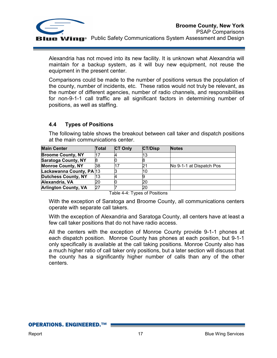

Alexandria has not moved into its new facility. It is unknown what Alexandria will maintain for a backup system, as it will buy new equipment, not reuse the equipment in the present center.

Comparisons could be made to the number of positions versus the population of the county, number of incidents, etc. These ratios would not truly be relevant, as the number of different agencies, number of radio channels, and responsibilities for non-9-1-1 call traffic are all significant factors in determining number of positions, as well as staffing.

## **4.4 Types of Positions**

The following table shows the breakout between call taker and dispatch positions at the main communications center.

| <b>Main Center</b>          | Total | <b>CT Only</b> | <b>CT/Disp</b> | <b>Notes</b>             |
|-----------------------------|-------|----------------|----------------|--------------------------|
| <b>Broome County, NY</b>    |       |                | 13             |                          |
| <b>Saratoga County, NY</b>  |       |                |                |                          |
| <b>Monroe County, NY</b>    | 38    |                |                | No 9-1-1 at Dispatch Pos |
| Lackawanna County, PA 13    |       |                | 10             |                          |
| <b>Dutchess County, NY</b>  | 13    |                |                |                          |
| Alexandria, VA              | 20    |                |                |                          |
| <b>Arlington County, VA</b> |       |                |                |                          |

Table 4-4: Types of Positions

With the exception of Saratoga and Broome County, all communications centers operate with separate call takers.

With the exception of Alexandria and Saratoga County, all centers have at least a few call taker positions that do not have radio access.

All the centers with the exception of Monroe County provide 9-1-1 phones at each dispatch position. Monroe County has phones at each position, but 9-1-1 only specifically is available at the call taking positions. Monroe County also has a much higher ratio of call taker only positions, but a later section will discuss that the county has a significantly higher number of calls than any of the other centers.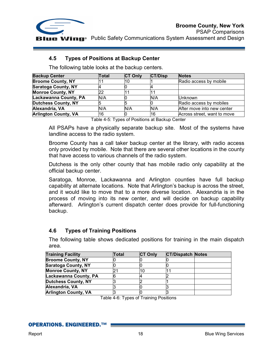

PSAP Comparisons **Wing** Public Safety Communications System Assessment and Design

## **4.5 Types of Positions at Backup Center**

The following table looks at the backup centers.

| <b>Backup Center</b>        | <b>Total</b> | <b>CT Only</b> | <b>CT/Disp</b> | <b>Notes</b>                |
|-----------------------------|--------------|----------------|----------------|-----------------------------|
| <b>Broome County, NY</b>    |              |                |                | Radio access by mobile      |
| <b>Saratoga County, NY</b>  |              |                |                |                             |
| <b>Monroe County, NY</b>    | 22           |                |                |                             |
| Lackawanna County, PA       | N/A          |                | N/A            | <b>Unknown</b>              |
| Dutchess County, NY         |              |                |                | Radio access by mobiles     |
| Alexandria, VA              | N/A          | N/A            | N/A            | After move into new center  |
| <b>Arlington County, VA</b> | 16           |                | 16             | Across street, want to move |

Table 4-5: Types of Positions at Backup Center

All PSAPs have a physically separate backup site. Most of the systems have landline access to the radio system.

Broome County has a call taker backup center at the library, with radio access only provided by mobile. Note that there are several other locations in the county that have access to various channels of the radio system.

Dutchess is the only other county that has mobile radio only capability at the official backup center.

Saratoga, Monroe, Lackawanna and Arlington counties have full backup capability at alternate locations. Note that Arlington's backup is across the street, and it would like to move that to a more diverse location. Alexandria is in the process of moving into its new center, and will decide on backup capability afterward. Arlington's current dispatch center does provide for full-functioning backup.

## **4.6 Types of Training Positions**

The following table shows dedicated positions for training in the main dispatch area.

| <b>Training Facility</b>    | Total | <b>CT Only</b> | <b>CT/Dispatch Notes</b> |  |
|-----------------------------|-------|----------------|--------------------------|--|
| <b>Broome County, NY</b>    |       |                |                          |  |
| <b>Saratoga County, NY</b>  |       |                |                          |  |
| <b>Monroe County, NY</b>    |       |                |                          |  |
| Lackawanna County, PA       |       |                |                          |  |
| <b>Dutchess County, NY</b>  |       |                |                          |  |
| Alexandria, VA              |       |                |                          |  |
| <b>Arlington County, VA</b> |       |                |                          |  |

Table 4-6: Types of Training Positions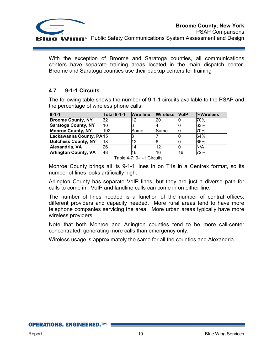

With the exception of Broome and Saratoga counties, all communications centers have separate training areas located in the main dispatch center. Broome and Saratoga counties use their backup centers for training

## **4.7 9-1-1 Circuits**

The following table shows the number of 9-1-1 circuits available to the PSAP and the percentage of wireless phone calls.

| $9 - 1 - 1$                 | <b>Total 9-1-1</b> | <b>Wire line</b> | <b>Wireless</b> | <b>NoIP</b> | <b>Wireless</b> |
|-----------------------------|--------------------|------------------|-----------------|-------------|-----------------|
| <b>Broome County, NY</b>    | 32                 | 12               | 20              | N           | 70%             |
| <b>Saratoga County, NY</b>  | 10                 |                  |                 |             | 63%             |
| <b>Monroe County, NY</b>    | 192                | Same             | Same            |             | 70%             |
| Lackawanna County, PA 15    |                    |                  |                 |             | 64%             |
| <b>Dutchess County, NY</b>  | 18                 | 12               |                 |             | 66%             |
| Alexandria, VA              | 26                 | 14               | 12              |             | N/A             |
| <b>Arlington County, VA</b> | 48                 | 16               | 16              | 16          | 72%             |

Table 4-7: 9-1-1 Circuits

Monroe County brings all its 9-1-1 lines in on T1s in a Centrex format, so its number of lines looks artificially high.

Arlington County has separate VoIP lines, but they are just a diverse path for calls to come in. VoIP and landline calls can come in on either line.

The number of lines needed is a function of the number of central offices, different providers and capacity needed. More rural areas tend to have more telephone companies servicing the area. More urban areas typically have more wireless providers.

Note that both Monroe and Arlington counties tend to be more call-center concentrated, generating more calls than emergency only.

Wireless usage is approximately the same for all the counties and Alexandria.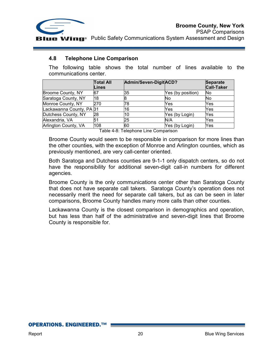

PSAP Comparisons **IIE Wing** Public Safety Communications System Assessment and Design

#### **4.8 Telephone Line Comparison**

The following table shows the total number of lines available to the communications center.

|                          | <b>Total All</b><br>Lines | Admin/Seven-DigitACD? |                   | <b>Separate</b><br><b>Call-Taker</b> |
|--------------------------|---------------------------|-----------------------|-------------------|--------------------------------------|
| Broome County, NY        | 67                        | 35                    | Yes (by position) | <b>No</b>                            |
| Saratoga County, NY      | 18                        | 8                     | No                | No                                   |
| Monroe County, NY        | 270                       | 78                    | Yes               | Yes                                  |
| Lackawanna County, PA 31 |                           | 16                    | Yes               | Yes                                  |
| Dutchess County, NY      | 28                        | 10                    | Yes (by Login)    | Yes                                  |
| Alexandria, VA           | 51                        | 25                    | N/A               | Yes                                  |
| Arlington County, VA     | 108                       | 60                    | Yes (by Login)    | Yes                                  |

Table 4-8: Telephone Line Comparison

Broome County would seem to be responsible in comparison for more lines than the other counties, with the exception of Monroe and Arlington counties, which as previously mentioned, are very call-center oriented.

Both Saratoga and Dutchess counties are 9-1-1 only dispatch centers, so do not have the responsibility for additional seven-digit call-in numbers for different agencies.

Broome County is the only communications center other than Saratoga County that does not have separate call takers. Saratoga County's operation does not necessarily merit the need for separate call takers, but as can be seen in later comparisons, Broome County handles many more calls than other counties.

Lackawanna County is the closest comparison in demographics and operation, but has less than half of the administrative and seven-digit lines that Broome County is responsible for.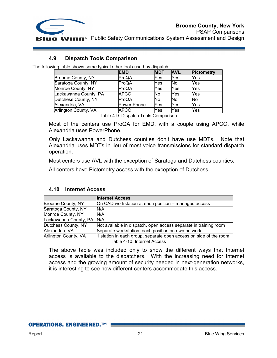

PSAP Comparisons **IIE Wing** Public Safety Communications System Assessment and Design

#### **4.9 Dispatch Tools Comparison**

The following table shows some typical other tools used by dispatch.

|                       | <b>EMD</b>  | <b>MDT</b> | <b>AVL</b> | <b>Pictometry</b> |
|-----------------------|-------------|------------|------------|-------------------|
| Broome County, NY     | ProQA       | Yes        | Yes        | Yes               |
| Saratoga County, NY   | ProQA       | Yes        | No         | Yes               |
| Monroe County, NY     | ProQA       | Yes        | Yes        | Yes               |
| Lackawanna County, PA | <b>APCO</b> | No         | Yes        | Yes               |
| Dutchess County, NY   | ProQA       | No         | No         | No                |
| Alexandria, VA        | Power Phone | Yes        | Yes        | Yes               |
| Arlington County, VA  | <b>APCO</b> | Yes        | Yes        | Yes               |
|                       |             |            |            |                   |

Table 4-9: Dispatch Tools Comparison

Most of the centers use ProQA for EMD, with a couple using APCO, while Alexandria uses PowerPhone.

Only Lackawanna and Dutchess counties don't have use MDTs. Note that Alexandria uses MDTs in lieu of most voice transmissions for standard dispatch operation.

Most centers use AVL with the exception of Saratoga and Dutchess counties.

All centers have Pictometry access with the exception of Dutchess.

#### **4.10 Internet Access**

|                       | <b>Internet Access</b>                                            |
|-----------------------|-------------------------------------------------------------------|
| Broome County, NY     | On CAD workstation at each position - managed access              |
| Saratoga County, NY   | IN/A                                                              |
| Monroe County, NY     | N/A                                                               |
| Lackawanna County, PA | N/A                                                               |
| Dutchess County, NY   | Not available in dispatch, open access separate in training room  |
| Alexandria, VA        | Separate workstation; each position on own network                |
| Arlington County, VA  | 1 station in each group, separate open access on side of the room |
|                       | Table 4-10: Internet Access                                       |

The above table was included only to show the different ways that Internet access is available to the dispatchers. With the increasing need for Internet access and the growing amount of security needed in next-generation networks, it is interesting to see how different centers accommodate this access.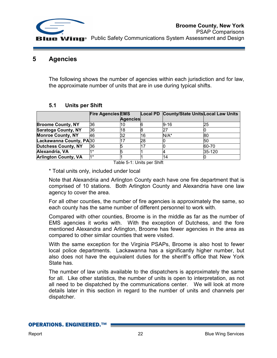

## **5 Agencies**

The following shows the number of agencies within each jurisdiction and for law, the approximate number of units that are in use during typical shifts.

## **5.1 Units per Shift**

|                             | <b>Fire Agencies EMS</b> |                 |    | Local PD County/State Units Local Law Units |        |
|-----------------------------|--------------------------|-----------------|----|---------------------------------------------|--------|
|                             |                          | <b>Agencies</b> |    |                                             |        |
| <b>Broome County, NY</b>    | 36                       | ιU              |    | $9 - 16$                                    | 25     |
| <b>Saratoga County, NY</b>  | 36                       | 18              |    |                                             |        |
| <b>Monroe County, NY</b>    | 46                       | 32              | 16 | N/A*                                        | 80     |
| Lackawanna County, PA30     |                          |                 | 28 |                                             | 50     |
| <b>Dutchess County, NY</b>  | 36                       |                 |    |                                             | 60-70  |
| Alexandria, VA              |                          |                 |    |                                             | 35-120 |
| <b>Arlington County, VA</b> | $4*$                     |                 |    | 14                                          |        |

Table 5-1: Units per Shift

\* Total units only, included under local

Note that Alexandria and Arlington County each have one fire department that is comprised of 10 stations. Both Arlington County and Alexandria have one law agency to cover the area.

For all other counties, the number of fire agencies is approximately the same, so each county has the same number of different personnel to work with.

Compared with other counties, Broome is in the middle as far as the number of EMS agencies it works with. With the exception of Dutchess, and the fore mentioned Alexandra and Arlington, Broome has fewer agencies in the area as compared to other similar counties that were visited.

With the same exception for the Virginia PSAPs, Broome is also host to fewer local police departments. Lackawanna has a significantly higher number, but also does not have the equivalent duties for the sheriff's office that New York State has.

The number of law units available to the dispatchers is approximately the same for all. Like other statistics, the number of units is open to interpretation, as not all need to be dispatched by the communications center. We will look at more details later in this section in regard to the number of units and channels per dispatcher.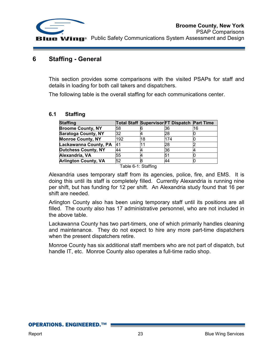

## **6 Staffing - General**

This section provides some comparisons with the visited PSAPs for staff and details in loading for both call takers and dispatchers.

The following table is the overall staffing for each communications center.

#### **6.1 Staffing**

| <b>Staffing</b>             |     |    | Total Staff Supervisor FT Dispatch Part Time |    |
|-----------------------------|-----|----|----------------------------------------------|----|
| <b>Broome County, NY</b>    | 58  |    | 36                                           | 16 |
| <b>Saratoga County, NY</b>  | 32  |    | 28                                           |    |
| <b>Monroe County, NY</b>    | 192 | 18 | 174                                          |    |
| Lackawanna County, PA       | 41  |    | 28                                           |    |
| <b>Dutchess County, NY</b>  | 44  |    | 36                                           |    |
| Alexandria, VA              | 55  |    | 5٬                                           |    |
| <b>Arlington County, VA</b> | 52  |    | 44                                           |    |

Table 6-1: Staffing

Alexandria uses temporary staff from its agencies, police, fire, and EMS. It is doing this until its staff is completely filled. Currently Alexandria is running nine per shift, but has funding for 12 per shift. An Alexandria study found that 16 per shift are needed.

Arlington County also has been using temporary staff until its positions are all filled. The county also has 17 administrative personnel, who are not included in the above table.

Lackawanna County has two part-timers, one of which primarily handles cleaning and maintenance. They do not expect to hire any more part-time dispatchers when the present dispatchers retire.

Monroe County has six additional staff members who are not part of dispatch, but handle IT, etc. Monroe County also operates a full-time radio shop.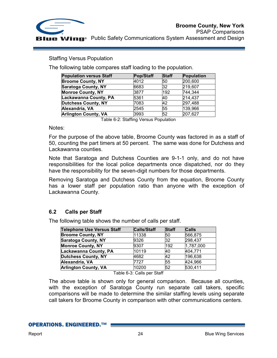

Staffing Versus Population

The following table compares staff loading to the population.

| <b>Population versus Staff</b> | Pop/Staff | <b>Staff</b> | Population |
|--------------------------------|-----------|--------------|------------|
| <b>Broome County, NY</b>       | 4012      | 50           | 200,600    |
| <b>Saratoga County, NY</b>     | 6683      | 32           | 219,607    |
| <b>Monroe County, NY</b>       | 3877      | 192          | 744,344    |
| Lackawanna County, PA          | 5361      | 40           | 214,437    |
| <b>Dutchess County, NY</b>     | 7083      | 42           | 297,488    |
| Alexandria, VA                 | 2545      | 55           | 139,966    |
| <b>Arlington County, VA</b>    | 3993      | 52           | 207,627    |

Table 6-2: Staffing Versus Population

Notes:

For the purpose of the above table, Broome County was factored in as a staff of 50, counting the part timers at 50 percent. The same was done for Dutchess and Lackawanna counties.

Note that Saratoga and Dutchess Counties are 9-1-1 only, and do not have responsibilities for the local police departments once dispatched, nor do they have the responsibility for the seven-digit numbers for those departments.

Removing Saratoga and Dutchess County from the equation, Broome County has a lower staff per population ratio than anyone with the exception of Lackawanna County.

## **6.2 Calls per Staff**

The following table shows the number of calls per staff.

| <b>Telephone Use Versus Staff</b> | <b>Calls/Staff</b> | <b>Staff</b> | <b>Calls</b> |
|-----------------------------------|--------------------|--------------|--------------|
| <b>Broome County, NY</b>          | 11338              | 50           | 566,875      |
| <b>Saratoga County, NY</b>        | 9326               | 32           | 298,437      |
| <b>Monroe County, NY</b>          | 9307               | 192          | 1,787,000    |
| Lackawanna County, PA             | 10119              | 40           | 404,771      |
| Dutchess County, NY               | 4682               | 42           | 196,638      |
| Alexandria, VA                    | 7727               | 55           | 424,966      |
| <b>Arlington County, VA</b>       | 10200              | 52           | 530,411      |

Table 6-3: Calls per Staff

The above table is shown only for general comparison. Because all counties, with the exception of Saratoga County run separate call takers, specific comparisons will be made to determine the similar staffing levels using separate call takers for Broome County in comparison with other communications centers.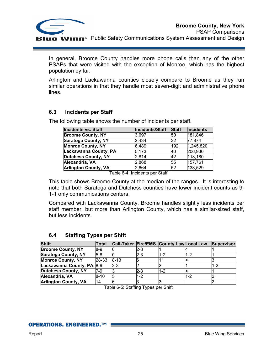

In general, Broome County handles more phone calls than any of the other PSAPs that were visited with the exception of Monroe, which has the highest population by far.

Arlington and Lackawanna counties closely compare to Broome as they run similar operations in that they handle most seven-digit and administrative phone lines.

## **6.3 Incidents per Staff**

The following table shows the number of incidents per staff.

| Incidents/Staff | <b>Staff</b> | <b>Incidents</b> |
|-----------------|--------------|------------------|
| 3,697           | 50           | 181,846          |
| 2.434           | 32           | 77,874           |
| 6,489           | 192          | 1,245,820        |
| 5,173           | 40           | 206,930          |
| 2,814           | 42           | 118,180          |
| 2,868           | 55           | 157,761          |
| 2,664           | 52           | 138,529          |
|                 |              |                  |

Table 6-4: Incidents per Staff

This table shows Broome County at the median of the ranges. It is interesting to note that both Saratoga and Dutchess counties have lower incident counts as 9- 1-1 only communications centers.

Compared with Lackawanna County, Broome handles slightly less incidents per staff member, but more than Arlington County, which has a similar-sized staff, but less incidents.

| <b>Shift</b>                | Total    |          |       | Call-Taker Fire/EMS County Law Local Law |     | <b>Supervisor</b> |
|-----------------------------|----------|----------|-------|------------------------------------------|-----|-------------------|
| <b>Broome County, NY</b>    | $8-9$    |          | 2-3   |                                          |     |                   |
| <b>Saratoga County, NY</b>  | 5-8      |          | 2-3   | 1-2                                      | 1-2 |                   |
| <b>Monroe County, NY</b>    | 28-33    | $8 - 13$ |       |                                          |     |                   |
| Lackawanna County, PA       | $8-9$    | $2 - 3$  |       |                                          |     |                   |
| <b>Dutchess County, NY</b>  | 7-9      |          | $2-3$ | 1-2                                      |     |                   |
| Alexandria, VA              | $8 - 10$ |          | 1-2   |                                          | 1-2 |                   |
| <b>Arlington County, VA</b> | 14       |          |       |                                          |     |                   |

## **6.4 Staffing Types per Shift**

Table 6-5: Staffing Types per Shift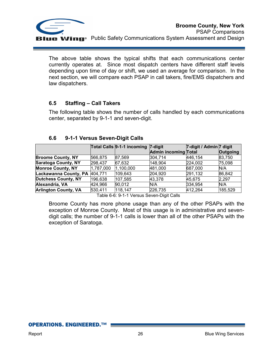

The above table shows the typical shifts that each communications center currently operates at. Since most dispatch centers have different staff levels depending upon time of day or shift, we used an average for comparison. In the next section, we will compare each PSAP in call takers, fire/EMS dispatchers and law dispatchers.

## **6.5 Staffing – Call Takers**

The following table shows the number of calls handled by each communications center, separated by 9-1-1 and seven-digit.

|                             |           | Total Calls 9-1-1 incoming | $7$ -digit                  | 7-digit / Admin 7 digit |          |
|-----------------------------|-----------|----------------------------|-----------------------------|-------------------------|----------|
|                             |           |                            | <b>Admin incoming Total</b> |                         | Outgoing |
| <b>Broome County, NY</b>    | 566,875   | 87,569                     | 304,714                     | 446,154                 | 83,750   |
| <b>Saratoga County, NY</b>  | 298,437   | 67,632                     | 148,904                     | 224,002                 | 75,098   |
| <b>Monroe County, NY</b>    | 1,787,000 | 1,100,000                  | 481,000                     | 687,000                 | N/A      |
| Lackawanna County, PA       | 404,771   | 109,643                    | 204,920                     | 291,132                 | 86,842   |
| <b>Dutchess County, NY</b>  | 196,638   | 107,585                    | 43,378                      | 45,675                  | 2,297    |
| Alexandria, VA              | 424,966   | 90,012                     | N/A                         | 334,954                 | N/A      |
| <b>Arlington County, VA</b> | 530,411   | 118,147                    | 226,735                     | 412,264                 | 185,529  |

## **6.6 9-1-1 Versus Seven-Digit Calls**

Table 6-6: 9-1-1 Versus Seven-Digit Calls

Broome County has more phone usage than any of the other PSAPs with the exception of Monroe County. Most of this usage is in administrative and sevendigit calls; the number of 9-1-1 calls is lower than all of the other PSAPs with the exception of Saratoga.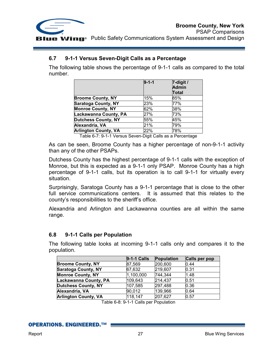

## **6.7 9-1-1 Versus Seven-Digit Calls as a Percentage**

The following table shows the percentage of 9-1-1 calls as compared to the total number.

| $9 - 1 - 1$ | $7$ -digit /<br><b>Admin</b><br>Total |
|-------------|---------------------------------------|
| 15%         | 85%                                   |
| 23%         | 77%                                   |
| 62%         | 38%                                   |
| 27%         | 73%                                   |
| 55%         | 45%                                   |
| 21%         | 79%                                   |
| 22%         | 78%                                   |
|             |                                       |

Table 6-7: 9-1-1 Versus Seven-Digit Calls as a Percentage

As can be seen, Broome County has a higher percentage of non-9-1-1 activity than any of the other PSAPs.

Dutchess County has the highest percentage of 9-1-1 calls with the exception of Monroe, but this is expected as a 9-1-1 only PSAP. Monroe County has a high percentage of 9-1-1 calls, but its operation is to call 9-1-1 for virtually every situation.

Surprisingly, Saratoga County has a 9-1-1 percentage that is close to the other full service communications centers. It is assumed that this relates to the county's responsibilities to the sheriff's office.

Alexandria and Arlington and Lackawanna counties are all within the same range.

## **6.8 9-1-1 Calls per Population**

The following table looks at incoming 9-1-1 calls only and compares it to the population.

|                             | <b>9-1-1 Calls</b> | <b>Population</b> | <b>Calls per pop</b> |
|-----------------------------|--------------------|-------------------|----------------------|
| <b>Broome County, NY</b>    | 87,569             | 200,600           | 0.44                 |
| <b>Saratoga County, NY</b>  | 67,632             | 219,607           | 0.31                 |
| <b>Monroe County, NY</b>    | 1,100,000          | 744,344           | 1.48                 |
| Lackawanna County, PA       | 109,643            | 214,437           | 0.51                 |
| <b>Dutchess County, NY</b>  | 107,585            | 297,488           | 0.36                 |
| Alexandria, VA              | 90,012             | 139,966           | 0.64                 |
| <b>Arlington County, VA</b> | 118,147            | 207,627           | 0.57                 |

Table 6-8: 9-1-1 Calls per Population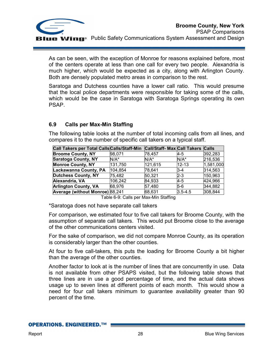

As can be seen, with the exception of Monroe for reasons explained before, most of the centers operate at less than one call for every two people. Alexandria is much higher, which would be expected as a city, along with Arlington County. Both are densely populated metro areas in comparison to the rest.

Saratoga and Dutchess counties have a lower call ratio. This would presume that the local police departments were responsible for taking some of the calls, which would be the case in Saratoga with Saratoga Springs operating its own PSAP.

## **6.9 Calls per Max-Min Staffing**

The following table looks at the number of total incoming calls from all lines, and compares it to the number of specific call takers on a typical staff.

| Call Takers per Total Calls Calls/Staff-Min |         | Call/Staff- Max Call Takers Calls |             |           |
|---------------------------------------------|---------|-----------------------------------|-------------|-----------|
| <b>Broome County, NY</b>                    | 98,071  | 78.457                            | 4-5         | 392,283   |
| <b>Saratoga County, NY</b>                  | $N/A^*$ | $N/A^*$                           | $N/A^*$     | 216,536   |
| <b>Monroe County, NY</b>                    | 131,750 | 121,615                           | $12 - 13$   | 1,581,000 |
| Lackawanna County, PA                       | 104,854 | 78,641                            | l3-4        | 314,563   |
| <b>Dutchess County, NY</b>                  | 75,482  | 50,321                            | 2-3         | 150,963   |
| Alexandria, VA                              | 106,242 | 84,933                            | $4 - 5$     | 424,966   |
| <b>Arlington County, VA</b>                 | 68,976  | 57,480                            | $5-6$       | 344,882   |
| Average (without Monroe) 88,241             |         | 68,631                            | $3.5 - 4.5$ | 308,844   |

Table 6-9: Calls per Max-Min Staffing

\*Saratoga does not have separate call takers

For comparison, we estimated four to five call takers for Broome County, with the assumption of separate call takers. This would put Broome close to the average of the other communications centers visited.

For the sake of comparison, we did not compare Monroe County, as its operation is considerably larger than the other counties.

At four to five call-takers, this puts the loading for Broome County a bit higher than the average of the other counties.

Another factor to look at is the number of lines that are concurrently in use. Data is not available from other PSAPS visited, but the following table shows that three lines are in use a good percentage of time, and the actual data shows usage up to seven lines at different points of each month. This would show a need for four call takers minimum to guarantee availability greater than 90 percent of the time.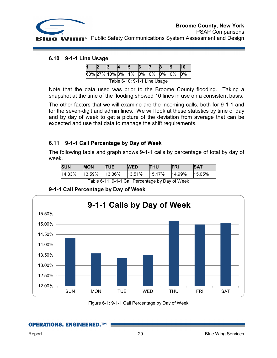

PSAP Comparisons **Wing** Public Safety Communications System Assessment and Design

#### **6.10 9-1-1 Line Usage**

|                              |  |  |  |  |  |    |    |       | 10 |
|------------------------------|--|--|--|--|--|----|----|-------|----|
| 60% 27% 10% 3% 1% 0%         |  |  |  |  |  | 0% | 0% | $0\%$ | 0% |
| Table 6-10: 9-1-1 Line Usage |  |  |  |  |  |    |    |       |    |

Note that the data used was prior to the Broome County flooding. Taking a snapshot at the time of the flooding showed 10 lines in use on a consistent basis.

The other factors that we will examine are the incoming calls, both for 9-1-1 and for the seven-digit and admin lines. We will look at these statistics by time of day and by day of week to get a picture of the deviation from average that can be expected and use that data to manage the shift requirements.

## **6.11 9-1-1 Call Percentage by Day of Week**

The following table and graph shows 9-1-1 calls by percentage of total by day of week.

| <b>SUN</b>                                                                                                    | <b>MON</b>                  | <b>TUE</b> | <b>WED</b> | <b>THU</b>    | <b>FRI</b> | <b>SAT</b> |
|---------------------------------------------------------------------------------------------------------------|-----------------------------|------------|------------|---------------|------------|------------|
|                                                                                                               | 14.33% 13.59% 13.36% 13.51% |            |            | 15.17% 14.99% |            | 15.05%     |
| $T - L L$ , $A + A$ , $A + A$ , $A - L$ , $B - L$ , $A + L$ , $A + L$ , $B - L$ , $B + L$ , $A + L$ , $A + L$ |                             |            |            |               |            |            |

Table 6-11: 9-1-1 Call Percentage by Day of Week

## **9-1-1 Call Percentage by Day of Week**



Figure 6-1: 9-1-1 Call Percentage by Day of Week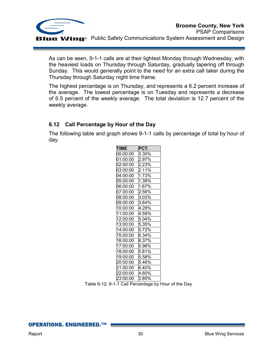

As can be seen, 9-1-1 calls are at their lightest Monday through Wednesday, with the heaviest loads on Thursday through Saturday, gradually tapering off through Sunday. This would generally point to the need for an extra call taker during the Thursday through Saturday night time frame.

The highest percentage is on Thursday, and represents a 6.2 percent increase of the average. The lowest percentage is on Tuesday and represents a decrease of 6.5 percent of the weekly average. The total deviation is 12.7 percent of the weekly average.

## **6.12 Call Percentage by Hour of the Day**

The following table and graph shows 9-1-1 calls by percentage of total by hour of day.

| <b>TIME</b>            | PCT.  |
|------------------------|-------|
| 00:00:00               | 3.30% |
| 01:00:00               | 2.97% |
| 02:00:00               | 2.23% |
| 03:00:00               | 2.11% |
| $\overline{04}$ :00:00 | 1.73% |
| 05:00:00               | 1.38% |
| 06:00:00               | 1.67% |
| 07:00:00               | 2.56% |
| 08:00:00               | 3.03% |
| 09:00:00               | 3.64% |
| 10:00:00               | 4.28% |
| 11:00:00               | 4.59% |
| 12:00:00               | 5.04% |
| 13:00:00               | 5.35% |
| 14:00:00               | 5.72% |
| 15:00:00               | 6.34% |
| 16:00:00               | 6.37% |
| 17:00:00               | 5.98% |
| 18:00:00               | 5.81% |
| 19:00:00               | 5.58% |
| 20:00:00               | 5.46% |
| 21:00:00               | 6.40% |
| 22:00:00               | 4.60% |
| 23:00:00               | 3.85% |

Table 6-12: 9-1-1 Call Percentage by Hour of the Day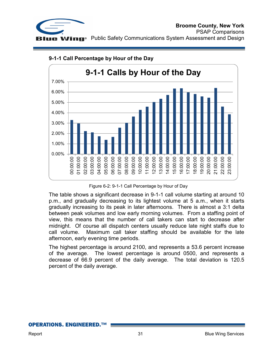



## **9-1-1 Call Percentage by Hour of the Day**

Figure 6-2: 9-1-1 Call Percentage by Hour of Day

The table shows a significant decrease in 9-1-1 call volume starting at around 10 p.m., and gradually decreasing to its lightest volume at 5 a.m., when it starts gradually increasing to its peak in later afternoons. There is almost a 3:1 delta between peak volumes and low early morning volumes. From a staffing point of view, this means that the number of call takers can start to decrease after midnight. Of course all dispatch centers usually reduce late night staffs due to call volume. Maximum call taker staffing should be available for the late afternoon, early evening time periods.

The highest percentage is around 2100, and represents a 53.6 percent increase of the average. The lowest percentage is around 0500, and represents a decrease of 66.9 percent of the daily average. The total deviation is 120.5 percent of the daily average.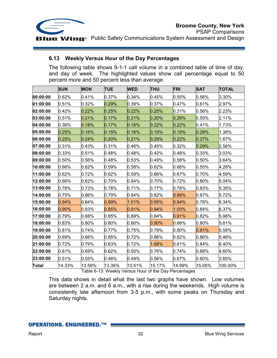

## **6.13 Weekly Versus Hour of the Day Percentages**

The following table shows 9-1-1 call volume in a combined table of time of day, and day of week. The highlighted values show call percentage equal to 50 percent more and 50 percent less than average.

|              | <b>SUN</b> | <b>MON</b> | <b>TUE</b> | <b>WED</b> | <b>THU</b> | <b>FRI</b> | <b>SAT</b> | <b>TOTAL</b> |
|--------------|------------|------------|------------|------------|------------|------------|------------|--------------|
| 00:00:00     | 0.62%      | 0.41%      | 0.37%      | 0.34%      | 0.45%      | 0.55%      | 0.56%      | 3.30%        |
| 01:00:00     | 0.51%      | 0.32%      | 0.29%      | 0.39%      | 0.37%      | 0.47%      | 0.61%      | 2.97%        |
| 02:00:00     | 0.42%      | 0.22%      | 0.25%      | 0.22%      | 0.25%      | 0.31%      | 0.56%      | 2.23%        |
| 03:00:00     | 0.51%      | 0.21%      | 0.17%      | 0.21%      | 0.20%      | 0.26%      | 0.55%      | 2.11%        |
| 04:00:00     | 0.36%      | 0.18%      | 0.17%      | 0.16%      | 0.22%      | 0.22%      | 0.41%      | 1.73%        |
| 05:00:00     | 0.25%      | 0.16%      | 0.15%      | 0.16%      | 0.19%      | 0.19%      | 0.28%      | 1.38%        |
| 06:00:00     | 0.25%      | 0.24%      | 0.20%      | 0.21%      | 0.29%      | 0.22%      | 0.27%      | 1.67%        |
| 07:00:00     | 0.31%      | 0.43%      | 0.31%      | 0.46%      | 0.45%      | 0.32%      | 0.29%      | 2.56%        |
| 08:00:00     | 0.33%      | 0.51%      | 0.48%      | 0.48%      | 0.42%      | 0.48%      | 0.33%      | 3.03%        |
| 09:00:00     | 0.50%      | 0.56%      | 0.48%      | 0.53%      | 0.49%      | 0.58%      | 0.50%      | 3.64%        |
| 10:00:00     | 0.66%      | 0.62%      | 0.59%      | 0.58%      | 0.62%      | 0.66%      | 0.55%      | 4.28%        |
| 11:00:00     | 0.62%      | 0.72%      | 0.62%      | 0.59%      | 0.66%      | 0.67%      | 0.70%      | 4.59%        |
| 12:00:00     | 0.66%      | 0.62%      | 0.70%      | 0.84%      | 0.70%      | 0.72%      | 0.80%      | 5.04%        |
| 13:00:00     | 0.78%      | 0.73%      | 0.78%      | 0.71%      | 0.77%      | 0.76%      | 0.83%      | 5.35%        |
| 14:00:00     | 0.75%      | 0.86%      | 0.79%      | 0.84%      | 0.82%      | 0.98%      | 0.67%      | 5.72%        |
| 15:00:00     | 0.94%      | 0.84%      | 0.89%      | 1.01%      | 0.95%      | 0.94%      | 0.78%      | 6.34%        |
| 16:00:00     | 0.90%      | 0.83%      | 0.95%      | 0.91%      | 0.94%      | 1.00%      | 0.84%      | 6.37%        |
| 17:00:00     | 0.79%      | 0.88%      | 0.85%      | 0.89%      | 0.84%      | 0.91%      | 0.82%      | 5.98%        |
| 18:00:00     | 0.83%      | 0.80%      | 0.80%      | 0.80%      | 0.90%      | 0.88%      | 0.80%      | 5.81%        |
| 19:00:00     | 0.81%      | 0.74%      | 0.77%      | 0.75%      | 0.79%      | 0.80%      | 0.91%      | 5.58%        |
| 20:00:00     | 0.69%      | 0.66%      | 0.85%      | 0.72%      | 0.86%      | 0.82%      | 0.86%      | 5.46%        |
| 21:00:00     | 0.72%      | 0.79%      | 0.83%      | 0.72%      | 1.68%      | 0.81%      | 0.84%      | 6.40%        |
| 22:00:00     | 0.61%      | 0.69%      | 0.62%      | 0.50%      | 0.76%      | 0.74%      | 0.68%      | 4.60%        |
| 23:00:00     | 0.51%      | 0.55%      | 0.46%      | 0.49%      | 0.56%      | 0.67%      | 0.60%      | 3.85%        |
| <b>Total</b> | 14.33%     | 13.59%     | 13.36%     | 13.51%     | 15.17%     | 14.99%     | 15.05%     | 100.00%      |

Table 6-13: Weekly Versus Hour of the Day Percentages

This data shows in detail what the last two graphs have shown. Low volumes are between 2 a.m. and 6 a.m., with a rise during the weekends. High volume is consistently late afternoon from 3-5 p.m., with some peaks on Thursday and Saturday nights.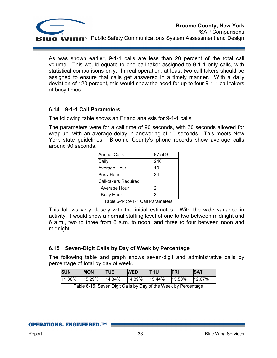

As was shown earlier, 9-1-1 calls are less than 20 percent of the total call volume. This would equate to one call taker assigned to 9-1-1 only calls, with statistical comparisons only. In real operation, at least two call takers should be assigned to ensure that calls get answered in a timely manner. With a daily deviation of 120 percent, this would show the need for up to four 9-1-1 call takers at busy times.

## **6.14 9-1-1 Call Parameters**

The following table shows an Erlang analysis for 9-1-1 calls.

The parameters were for a call time of 90 seconds, with 30 seconds allowed for wrap-up, with an average delay in answering of 10 seconds. This meets New York state guidelines. Broome County's phone records show average calls around 90 seconds.

| <b>Annual Calls</b>  | 87,569 |
|----------------------|--------|
| Daily                | 240    |
| Average Hour         | 10     |
| <b>Busy Hour</b>     | 24     |
| Call-takers Required |        |
| Average Hour         |        |
| <b>Busy Hour</b>     |        |

Table 6-14: 9-1-1 Call Parameters

This follows very closely with the initial estimates. With the wide variance in activity, it would show a normal staffing level of one to two between midnight and 6 a.m., two to three from 6 a.m. to noon, and three to four between noon and midnight.

## **6.15 Seven-Digit Calls by Day of Week by Percentage**

The following table and graph shows seven-digit and administrative calls by percentage of total by day of week.

| <b>SUN</b> | <b>MON</b> | <b>TUE</b> | <b>WED</b> | <b>THU</b> | <b>FRI</b> | <b>SAT</b> |
|------------|------------|------------|------------|------------|------------|------------|
| 11.38%     | 15.29%     | 14.84%     | 14.89%     | 15.44%     | 15.50%     | 12.67%     |

Table 6-15: Seven Digit Calls by Day of the Week by Percentage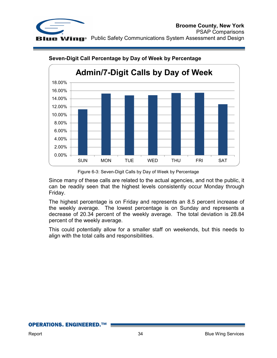



## **Seven-Digit Call Percentage by Day of Week by Percentage**

Since many of these calls are related to the actual agencies, and not the public, it can be readily seen that the highest levels consistently occur Monday through Friday.

The highest percentage is on Friday and represents an 8.5 percent increase of the weekly average. The lowest percentage is on Sunday and represents a decrease of 20.34 percent of the weekly average. The total deviation is 28.84 percent of the weekly average.

This could potentially allow for a smaller staff on weekends, but this needs to align with the total calls and responsibilities.

Figure 6-3: Seven-Digit Calls by Day of Week by Percentage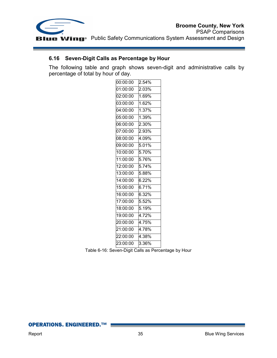

## **6.16 Seven-Digit Calls as Percentage by Hour**

The following table and graph shows seven-digit and administrative calls by percentage of total by hour of day.

| 00:00:00               | 2.54%                |
|------------------------|----------------------|
| 01:00:00               | 2.03%                |
| 02:00:00               | 1.69%                |
| 03:00:00               | 1.62%                |
| 04:00:00               | 1.37%                |
| 05:00:00               | 1.39%                |
| 06:00:00               | 2.30%                |
| $\overline{07}$ :00:00 | 2.93%                |
| 08:00:00               | 4.09%                |
| 09:00:00               | 5.01%                |
| 10:00:00               | $\overline{5.70\%}$  |
| 11:00:00               | 5.76%                |
| 12:00:00               | $\overline{5.74\%}$  |
| 13:00:00               | 5.88%                |
| 14:00:00               | 6.22%                |
| 15:00:00               | 6.71%                |
| 16:00:00               | $6.32\%$             |
| 17:00:00               | 5.52%                |
| 18:00:00               | 5.19%                |
| 19:00:00               | 4.72 $\overline{\%}$ |
| 20:00:00               | 4.75%                |
| 21:00:00               | 4.78%                |
| 22:00:00               | 4.38%                |
| 23:00:00               | 3.36%                |
|                        |                      |

Table 6-16: Seven-Digit Calls as Percentage by Hour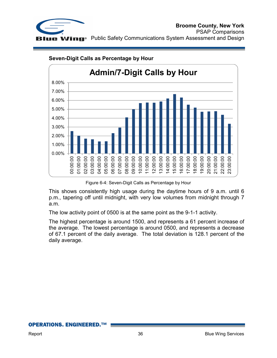



#### **Seven-Digit Calls as Percentage by Hour**

Figure 6-4: Seven-Digit Calls as Percentage by Hour

This shows consistently high usage during the daytime hours of 9 a.m. until 6 p.m., tapering off until midnight, with very low volumes from midnight through 7 a.m.

The low activity point of 0500 is at the same point as the 9-1-1 activity.

The highest percentage is around 1500, and represents a 61 percent increase of the average. The lowest percentage is around 0500, and represents a decrease of 67.1 percent of the daily average. The total deviation is 128.1 percent of the daily average.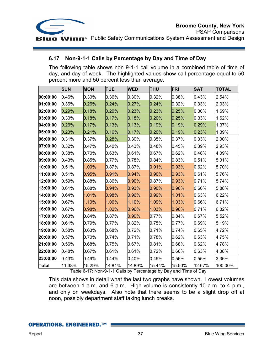

## **6.17 Non-9-1-1 Calls by Percentage by Day and Time of Day**

The following table shows non 9-1-1 call volume in a combined table of time of day, and day of week. The highlighted values show call percentage equal to 50 percent more and 50 percent less than average.

|              | <b>SUN</b> | <b>MON</b> | <b>TUE</b> | <b>WED</b> | <b>THU</b> | FRI    | <b>SAT</b> | <b>TOTAL</b> |
|--------------|------------|------------|------------|------------|------------|--------|------------|--------------|
| 00:00:00     | 0.46%      | 0.30%      | 0.36%      | 0.30%      | 0.32%      | 0.38%  | 0.43%      | 2.54%        |
| 01:00:00     | 0.36%      | 0.26%      | 0.24%      | 0.27%      | 0.24%      | 0.32%  | 0.33%      | 2.03%        |
| 02:00:00     | 0.29%      | 0.18%      | 0.20%      | 0.23%      | 0.23%      | 0.25%  | 0.30%      | 1.69%        |
| 03:00:00     | 0.30%      | 0.18%      | 0.17%      | 0.18%      | 0.20%      | 0.25%  | 0.33%      | 1.62%        |
| 04:00:00     | 0.26%      | 0.17%      | 0.13%      | 0.13%      | 0.19%      | 0.19%  | 0.29%      | 1.37%        |
| 05:00:00     | 0.23%      | 0.21%      | 0.16%      | 0.17%      | 0.20%      | 0.19%  | 0.23%      | 1.39%        |
| 06:00:00     | 0.31%      | 0.37%      | 0.28%      | 0.30%      | 0.35%      | 0.37%  | 0.33%      | 2.30%        |
| 07:00:00     | 0.32%      | 0.47%      | 0.40%      | 0.43%      | 0.48%      | 0.45%  | 0.39%      | 2.93%        |
| 08:00:00     | 0.38%      | 0.70%      | 0.63%      | 0.61%      | 0.67%      | 0.62%  | 0.48%      | 4.09%        |
| 09:00:00     | 0.43%      | 0.85%      | $0.77\%$   | 0.78%      | 0.84%      | 0.83%  | 0.51%      | 5.01%        |
| 10:00:00     | 0.51%      | 1.00%      | 0.87%      | 0.87%      | 0.91%      | 0.93%  | 0.62%      | 5.70%        |
| 11:00:00     | 0.51%      | 0.95%      | 0.91%      | 0.94%      | 0.90%      | 0.93%  | 0.61%      | 5.76%        |
| 12:00:00     | 0.59%      | $0.88\%$   | $0.86\%$   | 0.90%      | 0.87%      | 0.93%  | 0.71%      | 5.74%        |
| 13:00:00     | 0.61%      | 0.88%      | 0.94%      | 0.93%      | 0.90%      | 0.96%  | 0.66%      | 5.88%        |
| 14:00:00     | 0.64%      | 1.01%      | 0.98%      | 0.96%      | 0.99%      | 1.01%  | 0.63%      | 6.22%        |
| 15:00:00     | 0.67%      | 1.10%      | 1.06%      | 1.10%      | 1.09%      | 1.03%  | 0.66%      | 6.71%        |
| 16:00:00     | 0.67%      | 0.98%      | 1.02%      | 0.96%      | 1.03%      | 0.96%  | 0.71%      | 6.32%        |
| 17:00:00     | 0.63%      | 0.84%      | 0.87%      | 0.90%      | 0.77%      | 0.84%  | 0.67%      | 5.52%        |
| 18:00:00     | 0.61%      | 0.79%      | 0.77%      | 0.82%      | 0.75%      | 0.77%  | 0.69%      | 5.19%        |
| 19:00:00     | 0.58%      | 0.63%      | 0.68%      | 0.72%      | 0.71%      | 0.74%  | 0.65%      | 4.72%        |
| 20:00:00     | 0.57%      | 0.70%      | 0.74%      | 0.71%      | 0.78%      | 0.62%  | 0.63%      | 4.75%        |
| 21:00:00     | $0.56\%$   | $0.68\%$   | 0.75%      | 0.67%      | 0.81%      | 0.68%  | 0.62%      | 4.78%        |
| 22:00:00     | 0.48%      | 0.67%      | 0.61%      | 0.61%      | 0.72%      | 0.66%  | 0.63%      | 4.38%        |
| 23:00:00     | 0.43%      | 0.49%      | 0.44%      | 0.40%      | 0.49%      | 0.56%  | 0.55%      | 3.36%        |
| <b>Total</b> | 11.38%     | 15.29%     | 14.84%     | 14.89%     | 15.44%     | 15.50% | 12.67%     | 100.00%      |

Table 6-17: Non-9-1-1 Calls by Percentage by Day and Time of Day

This data shows in detail what the last two graphs have shown. Lowest volumes are between 1 a.m. and 6 a.m. High volume is consistently 10 a.m. to 4 p.m., and only on weekdays. Also note that there seems to be a slight drop off at noon, possibly department staff taking lunch breaks.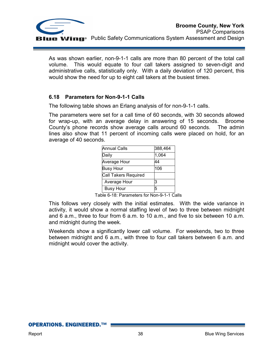

As was shown earlier, non-9-1-1 calls are more than 80 percent of the total call volume. This would equate to four call takers assigned to seven-digit and administrative calls, statistically only. With a daily deviation of 120 percent, this would show the need for up to eight call takers at the busiest times.

## **6.18 Parameters for Non-9-1-1 Calls**

The following table shows an Erlang analysis of for non-9-1-1 calls.

The parameters were set for a call time of 60 seconds, with 30 seconds allowed for wrap-up, with an average delay in answering of 15 seconds. Broome County's phone records show average calls around 60 seconds. The admin lines also show that 11 percent of incoming calls were placed on hold, for an average of 40 seconds.

| <b>Annual Calls</b>  | 388,464 |
|----------------------|---------|
| Daily                | 1,064   |
| Average Hour         | 44      |
| <b>Busy Hour</b>     | 106     |
| Call Takers Required |         |
| Average Hour         | з       |
| <b>Busy Hour</b>     | 5       |

Table 6-18: Parameters for Non-9-1-1 Calls

This follows very closely with the initial estimates. With the wide variance in activity, it would show a normal staffing level of two to three between midnight and 6 a.m., three to four from 6 a.m. to 10 a.m., and five to six between 10 a.m. and midnight during the week.

Weekends show a significantly lower call volume. For weekends, two to three between midnight and 6 a.m., with three to four call takers between 6 a.m. and midnight would cover the activity.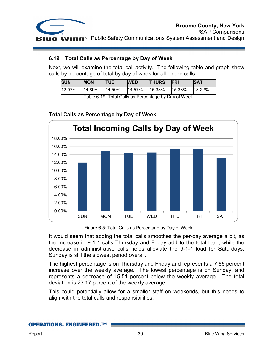

## **6.19 Total Calls as Percentage by Day of Week**

Next, we will examine the total call activity. The following table and graph show calls by percentage of total by day of week for all phone calls.

| SUN    | <b>MON</b> | <b>TUE</b> | <b>WED</b>     | <b>THURS</b> | <b>FRI</b> | <b>SAT</b> |
|--------|------------|------------|----------------|--------------|------------|------------|
| 12.07% | 14.89%     | 14.50%     | 14.57%  15.38% |              | 15.38%     | $13.22\%$  |

Table 6-19: Total Calls as Percentage by Day of Week



## **Total Calls as Percentage by Day of Week**

Figure 6-5: Total Calls as Percentage by Day of Week

It would seem that adding the total calls smoothes the per-day average a bit, as the increase in 9-1-1 calls Thursday and Friday add to the total load, while the decrease in administrative calls helps alleviate the 9-1-1 load for Saturdays. Sunday is still the slowest period overall.

The highest percentage is on Thursday and Friday and represents a 7.66 percent increase over the weekly average. The lowest percentage is on Sunday, and represents a decrease of 15.51 percent below the weekly average. The total deviation is 23.17 percent of the weekly average.

This could potentially allow for a smaller staff on weekends, but this needs to align with the total calls and responsibilities.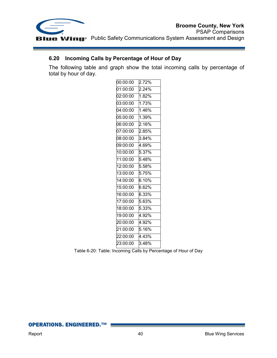

## **6.20 Incoming Calls by Percentage of Hour of Day**

The following table and graph show the total incoming calls by percentage of total by hour of day.

| 00:00:00 | 2.72%               |
|----------|---------------------|
| 01:00:00 | 2.24%               |
| 02:00:00 | 1.82%               |
| 03:00:00 | 1.73%               |
| 04:00:00 | 1.46%               |
| 05:00:00 | 1.39%               |
| 06:00:00 | 2.16%               |
| 07:00:00 | 2.85%               |
| 08:00:00 | 3.84%               |
| 09:00:00 | 4.69%               |
| 10:00:00 | 5.37%               |
| 11:00:00 | 5.48%               |
| 12:00:00 | 5.58%               |
| 13:00:00 | 5.75%               |
| 14:00:00 | 6.10%               |
| 15:00:00 | 6.62%               |
| 16:00:00 | 6.33%               |
| 17:00:00 | 5.63%               |
| 18:00:00 | $\overline{5.33\%}$ |
| 19:00:00 | 4.92%               |
| 20:00:00 | 4.92%               |
| 21:00:00 | 5.16%               |
| 22:00:00 | 4.43%               |
| 23:00:00 | $\overline{3.48\%}$ |
|          |                     |

Table 6-20: Table: Incoming Calls by Percentage of Hour of Day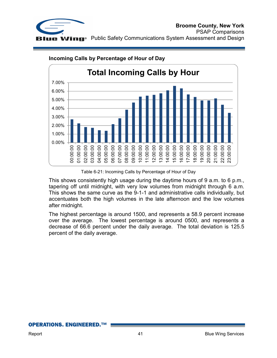



## **Incoming Calls by Percentage of Hour of Day**

Table 6-21: Incoming Calls by Percentage of Hour of Day

This shows consistently high usage during the daytime hours of 9 a.m. to 6 p.m., tapering off until midnight, with very low volumes from midnight through 6 a.m. This shows the same curve as the 9-1-1 and administrative calls individually, but accentuates both the high volumes in the late afternoon and the low volumes after midnight.

The highest percentage is around 1500, and represents a 58.9 percent increase over the average. The lowest percentage is around 0500, and represents a decrease of 66.6 percent under the daily average. The total deviation is 125.5 percent of the daily average.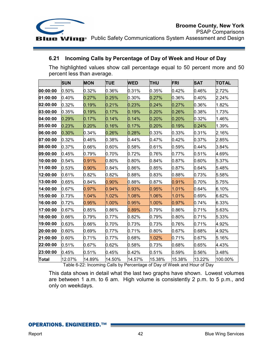

## **6.21 Incoming Calls by Percentage of Day of Week and Hour of Day**

The highlighted values show call percentage equal to 50 percent more and 50 percent less than average.

|              | <b>SUN</b> | <b>MON</b> | <b>TUE</b> | <b>WED</b> | <b>THU</b> | FRI    | <b>SAT</b> | <b>TOTAL</b> |
|--------------|------------|------------|------------|------------|------------|--------|------------|--------------|
| 00:00:00     | $0.50\%$   | 0.32%      | 0.36%      | 0.31%      | 0.35%      | 0.42%  | 0.46%      | 2.72%        |
| 01:00:00     | 0.40%      | 0.27%      | 0.25%      | 0.30%      | 0.27%      | 0.36%  | 0.40%      | 2.24%        |
| 02:00:00     | 0.32%      | 0.19%      | 0.21%      | 0.23%      | 0.24%      | 0.27%  | 0.36%      | 1.82%        |
| 03:00:00     | 0.35%      | 0.19%      | 0.17%      | 0.19%      | 0.20%      | 0.26%  | 0.38%      | 1.73%        |
| 04:00:00     | 0.29%      | 0.17%      | 0.14%      | 0.14%      | 0.20%      | 0.20%  | 0.32%      | 1.46%        |
| 05:00:00     | 0.23%      | 0.20%      | 0.16%      | 0.17%      | 0.20%      | 0.19%  | 0.24%      | 1.39%        |
| 06:00:00     | 0.30%      | 0.34%      | 0.26%      | 0.28%      | 0.33%      | 0.33%  | 0.31%      | 2.16%        |
| 07:00:00     | 0.32%      | 0.46%      | 0.38%      | 0.44%      | 0.47%      | 0.42%  | 0.37%      | 2.85%        |
| 08:00:00     | 0.37%      | 0.66%      | 0.60%      | 0.58%      | 0.61%      | 0.59%  | 0.44%      | 3.84%        |
| 09:00:00     | 0.45%      | 0.79%      | 0.70%      | 0.72%      | 0.76%      | 0.77%  | 0.51%      | 4.69%        |
| 10:00:00     | 0.54%      | 0.91%      | 0.80%      | 0.80%      | 0.84%      | 0.87%  | 0.60%      | 5.37%        |
| 11:00:00     | 0.53%      | $0.90\%$   | 0.84%      | 0.86%      | 0.85%      | 0.87%  | 0.64%      | 5.48%        |
| 12:00:00     | 0.61%      | 0.82%      | 0.82%      | 0.88%      | 0.83%      | 0.88%  | 0.73%      | 5.58%        |
| 13:00:00     | 0.65%      | $0.84\%$   | $0.90\%$   | 0.88%      | 0.87%      | 0.91%  | 0.70%      | 5.75%        |
| 14:00:00     | 0.67%      | 0.97%      | 0.94%      | 0.93%      | 0.95%      | 1.01%  | 0.64%      | 6.10%        |
| 15:00:00     | 0.73%      | 1.04%      | 1.02%      | 1.08%      | 1.06%      | 1.01%  | 0.69%      | 6.62%        |
| 16:00:00     | 0.72%      | 0.95%      | 1.00%      | 0.95%      | 1.00%      | 0.97%  | 0.74%      | 6.33%        |
| 17:00:00     | 0.67%      | 0.85%      | 0.86%      | 0.89%      | 0.79%      | 0.86%  | 0.71%      | 5.63%        |
| 18:00:00     | 0.66%      | 0.79%      | $0.77\%$   | 0.82%      | 0.79%      | 0.80%  | 0.71%      | 5.33%        |
| 19:00:00     | 0.63%      | 0.66%      | 0.70%      | 0.73%      | 0.73%      | 0.76%  | 0.71%      | 4.92%        |
| 20:00:00     | 0.60%      | 0.69%      | 0.77%      | 0.71%      | 0.80%      | 0.67%  | 0.68%      | 4.92%        |
| 21:00:00     | 0.60%      | 0.71%      | $0.77\%$   | 0.68%      | 1.02%      | 0.71%  | 0.67%      | 5.16%        |
| 22:00:00     | 0.51%      | 0.67%      | 0.62%      | 0.58%      | 0.73%      | 0.68%  | 0.65%      | 4.43%        |
| 23:00:00     | 0.45%      | 0.51%      | 0.45%      | 0.42%      | 0.51%      | 0.59%  | 0.56%      | 3.48%        |
| <b>Total</b> | 12.07%     | 14.89%     | 14.50%     | 14.57%     | 15.38%     | 15.38% | 13.22%     | 100.00%      |

Table 6-22: Incoming Calls by Percentage of Day of Week and Hour of Day

This data shows in detail what the last two graphs have shown. Lowest volumes are between 1 a.m. to 6 am. High volume is consistently 2 p.m. to 5 p.m., and only on weekdays.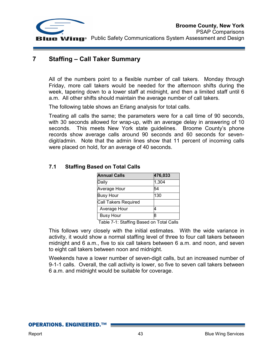

## **7 Staffing – Call Taker Summary**

All of the numbers point to a flexible number of call takers. Monday through Friday, more call takers would be needed for the afternoon shifts during the week, tapering down to a lower staff at midnight, and then a limited staff until 6 a.m. All other shifts should maintain the average number of call takers.

The following table shows an Erlang analysis for total calls.

Treating all calls the same; the parameters were for a call time of 90 seconds, with 30 seconds allowed for wrap-up, with an average delay in answering of 10 seconds. This meets New York state guidelines. Broome County's phone records show average calls around 90 seconds and 60 seconds for sevendigit/admin. Note that the admin lines show that 11 percent of incoming calls were placed on hold, for an average of 40 seconds.

| <b>Annual Calls</b>  | 476,033 |
|----------------------|---------|
| Daily                | 1,304   |
| Average Hour         | 54      |
| <b>Busy Hour</b>     | 130     |
| Call Takers Required |         |
| Average Hour         |         |
| <b>Busy Hour</b>     | 8       |

## **7.1 Staffing Based on Total Calls**

Table 7-1: Staffing Based on Total Calls

This follows very closely with the initial estimates. With the wide variance in activity, it would show a normal staffing level of three to four call takers between midnight and 6 a.m., five to six call takers between 6 a.m. and noon, and seven to eight call takers between noon and midnight.

Weekends have a lower number of seven-digit calls, but an increased number of 9-1-1 calls. Overall, the call activity is lower, so five to seven call takers between 6 a.m. and midnight would be suitable for coverage.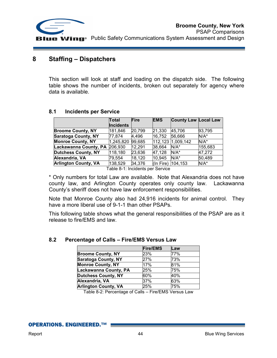

## **8 Staffing – Dispatchers**

This section will look at staff and loading on the dispatch side. The following table shows the number of incidents, broken out separately for agency where data is available.

|                             | Total            | Fire   | <b>EMS</b> | <b>County Law Local Law</b> |         |
|-----------------------------|------------------|--------|------------|-----------------------------|---------|
|                             | <b>Incidents</b> |        |            |                             |         |
| <b>Broome County, NY</b>    | 181,846          | 20,799 | 21,330     | 45.706                      | 93,795  |
| <b>Saratoga County, NY</b>  | 77,874           | 4,496  | 16,752     | 56,666                      | $N/A^*$ |
| <b>Monroe County, NY</b>    | 1,245,820        | 99,685 |            | 112,123 1,009,142           | $N/A^*$ |
| Lackawanna County, PA       | 206,930          | 12,291 | 38,664     | $N/A^*$                     | 155,683 |
| <b>Dutchess County, NY</b>  | 118,180          | 23,636 | 47,128     | $N/A^*$                     | 47,272  |
| Alexandria, VA              | 79.554           | 18,120 | 10,945     | $N/A^*$                     | 50,489  |
| <b>Arlington County, VA</b> | 138,529          | 34,376 | (In Fire)  | 104, 153                    | N/A*    |

## **8.1 Incidents per Service**

Table 8-1: Incidents per Service

\* Only numbers for total Law are available. Note that Alexandria does not have county law, and Arlington County operates only county law. Lackawanna County's sheriff does not have law enforcement responsibilities.

Note that Monroe County also had 24,916 incidents for animal control. They have a more liberal use of 9-1-1 than other PSAPs.

This following table shows what the general responsibilities of the PSAP are as it release to fire/EMS and law.

|                             | <b>Fire/EMS</b> | Law |
|-----------------------------|-----------------|-----|
| <b>Broome County, NY</b>    | 23%             | 77% |
| <b>Saratoga County, NY</b>  | 27%             | 73% |
| <b>Monroe County, NY</b>    | 17%             | 81% |
| Lackawanna County, PA       | 25%             | 75% |
| <b>Dutchess County, NY</b>  | 60%             | 40% |
| Alexandria, VA              | 37%             | 63% |
| <b>Arlington County, VA</b> | 25%             | 75% |

## **8.2 Percentage of Calls – Fire/EMS Versus Law**

Table 8-2: Percentage of Calls – Fire/EMS Versus Law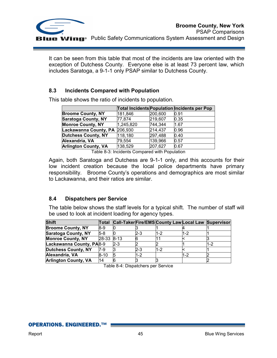

It can be seen from this table that most of the incidents are law oriented with the exception of Dutchess County. Everyone else is at least 73 percent law, which includes Saratoga, a 9-1-1 only PSAP similar to Dutchess County.

## **8.3 Incidents Compared with Population**

| 181,846   | 0.91                                                                                                                      |
|-----------|---------------------------------------------------------------------------------------------------------------------------|
| 77,874    | 0.35                                                                                                                      |
| 1,245,820 | 1.67                                                                                                                      |
| 206,930   | 0.96                                                                                                                      |
| 118,180   | 0.40                                                                                                                      |
| 79.554    | 0.57                                                                                                                      |
| 138,529   | 0.67                                                                                                                      |
|           | Total Incidents Population Incidents per Pop<br>200,600<br>219,607<br>744,344<br>214,437<br>297,488<br>139,966<br>207,627 |

This table shows the ratio of incidents to population.

Table 8-3: Incidents Compared with Population

Again, both Saratoga and Dutchess are 9-1-1 only, and this accounts for their low incident creation because the local police departments have primary responsibility. Broome County's operations and demographics are most similar to Lackawanna, and their ratios are similar.

## **8.4 Dispatchers per Service**

The table below shows the staff levels for a typical shift. The number of staff will be used to look at incident loading for agency types.

| <b>Shift</b>                | <b>Total</b> |          |     | Call-Taker Fire/EMS County Law Local Law Supervisor |     |     |
|-----------------------------|--------------|----------|-----|-----------------------------------------------------|-----|-----|
| <b>Broome County, NY</b>    | I8-9         |          |     |                                                     |     |     |
| <b>Saratoga County, NY</b>  | $5-8$        |          | 2-3 | 1-2                                                 | 1-2 |     |
| <b>Monroe County, NY</b>    | $28-33$      | $8 - 13$ |     |                                                     |     |     |
| Lackawanna County, PA8-9    |              | 2-3      |     |                                                     |     | 1-2 |
| <b>Dutchess County, NY</b>  | 7-9          |          | 2-3 | 1-2                                                 |     |     |
| Alexandria, VA              | $8 - 10$     |          | 1-2 |                                                     | 1-2 |     |
| <b>Arlington County, VA</b> | 14           |          |     |                                                     |     |     |

Table 8-4: Dispatchers per Service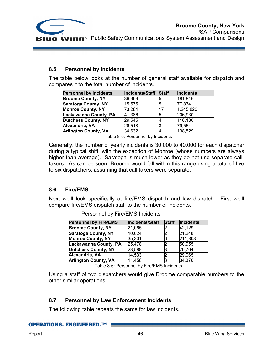

## **8.5 Personnel by Incidents**

The table below looks at the number of general staff available for dispatch and compares it to the total number of incidents.

| <b>Personnel by Incidents</b> | Incidents/Staff Staff | Incidents |
|-------------------------------|-----------------------|-----------|
| <b>Broome County, NY</b>      | 36,369                | 181,846   |
| <b>Saratoga County, NY</b>    | 15,575                | 77,874    |
| <b>Monroe County, NY</b>      | 73,284                | 1,245,820 |
| Lackawanna County, PA         | 41,386                | 206,930   |
| <b>Dutchess County, NY</b>    | 29,545                | 118,180   |
| Alexandria, VA                | 26,518                | 79,554    |
| <b>Arlington County, VA</b>   | 34,632                | 138,529   |

Table 8-5: Personnel by Incidents

Generally, the number of yearly incidents is 30,000 to 40,000 for each dispatcher during a typical shift, with the exception of Monroe (whose numbers are always higher than average). Saratoga is much lower as they do not use separate calltakers. As can be seen, Broome would fall within this range using a total of five to six dispatchers, assuming that call takers were separate.

## **8.6 Fire/EMS**

Next we'll look specifically at fire/EMS dispatch and law dispatch. First we'll compare fire/EMS dispatch staff to the number of incidents.

| <b>Personnel by Fire/EMS</b> | Incidents/Staff | <b>Staff</b> | <b>Incidents</b> |
|------------------------------|-----------------|--------------|------------------|
| <b>Broome County, NY</b>     | 21,065          |              | 42,129           |
| <b>Saratoga County, NY</b>   | 10,624          |              | 21,248           |
| <b>Monroe County, NY</b>     | 35,301          |              | 211,808          |
| Lackawanna County, PA        | 25,478          |              | 50,955           |
| <b>Dutchess County, NY</b>   | 23,588          |              | 70,764           |
| Alexandria, VA               | 14,533          |              | 29,065           |
| <b>Arlington County, VA</b>  | 11,458          |              | 34,376           |

Personnel by Fire/EMS Incidents

Table 8-6: Personnel by Fire/EMS Incidents

Using a staff of two dispatchers would give Broome comparable numbers to the other similar operations.

## **8.7 Personnel by Law Enforcement Incidents**

The following table repeats the same for law incidents.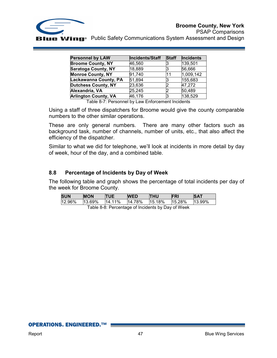

PSAP Comparisons **B Wing**<sup>®</sup> Public Safety Communications System Assessment and Design

| <b>Personnel by LAW</b>     | Incidents/Staff | <b>Staff</b> | Incidents |
|-----------------------------|-----------------|--------------|-----------|
| <b>Broome County, NY</b>    | 46,560          |              | 139,501   |
| <b>Saratoga County, NY</b>  | 18,889          | 3            | 56,666    |
| <b>Monroe County, NY</b>    | 91,740          | 11           | 1,009,142 |
| Lackawanna County, PA       | 51,894          | 3            | 155,683   |
| <b>Dutchess County, NY</b>  | 23,636          |              | 47,272    |
| Alexandria, VA              | 25,245          |              | 50,489    |
| <b>Arlington County, VA</b> | 46,176          | 3            | 138,529   |

Table 8-7: Personnel by Law Enforcement Incidents

Using a staff of three dispatchers for Broome would give the county comparable numbers to the other similar operations.

These are only general numbers. There are many other factors such as background task, number of channels, number of units, etc., that also affect the efficiency of the dispatcher.

Similar to what we did for telephone, we'll look at incidents in more detail by day of week, hour of the day, and a combined table.

## **8.8 Percentage of Incidents by Day of Week**

The following table and graph shows the percentage of total incidents per day of the week for Broome County.

| <b>SUN</b>                                         | <b>MON</b> | <b>TUE</b> | <b>WED</b> | <b>THU</b> | FRI    | <b>SAT</b> |
|----------------------------------------------------|------------|------------|------------|------------|--------|------------|
| 12.96%                                             | $13.69\%$  | 14.11%     | 14.78%     | 15.18%     | 15.28% | $13.99\%$  |
| Tekle 0.0. Desember ef landerske kun Deutsfillerin |            |            |            |            |        |            |

Table 8-8: Percentage of Incidents by Day of Week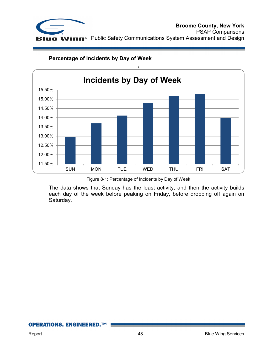



**Percentage of Incidents by Day of Week** 

The data shows that Sunday has the least activity, and then the activity builds each day of the week before peaking on Friday, before dropping off again on Saturday.

Figure 8-1: Percentage of Incidents by Day of Week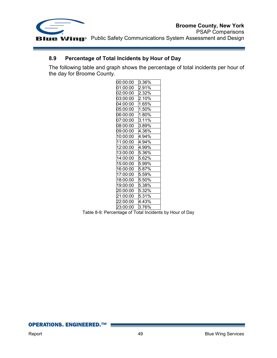

## **8.9 Percentage of Total Incidents by Hour of Day**

The following table and graph shows the percentage of total incidents per hour of the day for Broome County.

| 00:00:00 | 3.36% |
|----------|-------|
| 01:00:00 | 2.91% |
| 02:00:00 | 2.32% |
| 03:00:00 | 2.10% |
| 04:00:00 | 1.65% |
| 05:00:00 | 1.50% |
| 06:00:00 | 1.80% |
| 07:00:00 | 3.11% |
| 08:00:00 | 3.89% |
| 09:00:00 | 4.36% |
| 10:00:00 | 4.94% |
| 11:00:00 | 4.94% |
| 12:00:00 | 4.99% |
| 13:00:00 | 5.36% |
| 14:00:00 | 5.62% |
| 15:00:00 | 5.99% |
| 16:00:00 | 5.87% |
| 17:00:00 | 5.59% |
| 18:00:00 | 5.50% |
| 19:00:00 | 5.38% |
| 20:00:00 | 5.32% |
| 21:00:00 | 5.31% |
| 22:00:00 | 4.43% |
| 23:00:00 | 3.76% |

Table 8-9: Percentage of Total Incidents by Hour of Day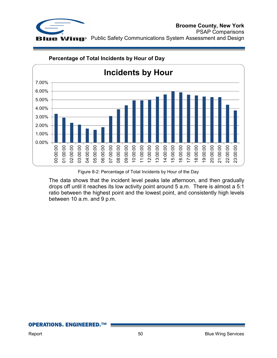



## **Percentage of Total Incidents by Hour of Day**

Figure 8-2: Percentage of Total Incidents by Hour of the Day

The data shows that the incident level peaks late afternoon, and then gradually drops off until it reaches its low activity point around 5 a.m. There is almost a 5:1 ratio between the highest point and the lowest point, and consistently high levels between 10 a.m. and 9 p.m.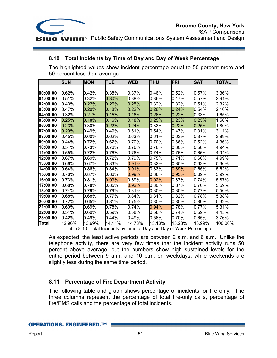

## **8.10 Total Incidents by Time of Day and Day of Week Percentage**

The highlighted values show incident percentage equal to 50 percent more and 50 percent less than average.

|          | <b>SUN</b> | <b>MON</b> | <b>TUE</b> | <b>WED</b> | <b>THU</b> | <b>FRI</b> | <b>SAT</b> | <b>TOTAL</b> |
|----------|------------|------------|------------|------------|------------|------------|------------|--------------|
|          |            |            |            |            |            |            |            |              |
| 00:00:00 | 0.62%      | 0.42%      | 0.38%      | 0.37%      | 0.46%      | 0.52%      | 0.57%      | 3.36%        |
| 01:00:00 | 0.51%      | 0.32%      | $0.30\%$   | 0.38%      | 0.36%      | 0.47%      | $0.57\%$   | 2.91%        |
| 02:00:00 | 0.43%      | 0.22%      | 0.26%      | 0.25%      | 0.32%      | 0.32%      | 0.51%      | 2.32%        |
| 03:00:00 | 0.47%      | 0.20%      | 0.18%      | 0.22%      | 0.26%      | 0.24%      | 0.54%      | 2.10%        |
| 04:00:00 | 0.32%      | 0.21%      | 0.15%      | 0.16%      | 0.26%      | 0.22%      | 0.33%      | 1.65%        |
| 05:00:00 | 0.25%      | 0.18%      | 0.16%      | 0.18%      | 0.25%      | 0.23%      | 0.25%      | 1.50%        |
| 06:00:00 | 0.23%      | 0.30%      | $0.22\%$   | 0.24%      | 0.33%      | 0.22%      | 0.25%      | 1.80%        |
| 07:00:00 | 0.29%      | $0.49\%$   | 0.49%      | 0.51%      | 0.54%      | 0.47%      | 0.31%      | 3.11%        |
| 08:00:00 | 0.45%      | 0.60%      | 0.62%      | 0.63%      | 0.61%      | 0.63%      | 0.37%      | 3.89%        |
| 09:00:00 | 0.44%      | 0.72%      | 0.62%      | 0.70%      | $0.70\%$   | 0.66%      | 0.52%      | 4.36%        |
| 10:00:00 | 0.54%      | 0.73%      | 0.76%      | 0.76%      | 0.76%      | 0.80%      | 0.58%      | 4.94%        |
| 11:00:00 | 0.55%      | 0.72%      | 0.76%      | 0.76%      | 0.74%      | 0.75%      | 0.65%      | 4.94%        |
| 12:00:00 | 0.67%      | 0.69%      | 0.72%      | 0.79%      | 0.75%      | 0.71%      | 0.66%      | 4.99%        |
| 13:00:00 | 0.66%      | 0.67%      | 0.83%      | $0.91\%$   | 10.82%     | 0.85%      | 0.62%      | 5.36%        |
| 14:00:00 | 0.64%      | 0.86%      | 0.84%      | 0.91%      | 0.83%      | 0.89%      | 0.65%      | 5.62%        |
| 15:00:00 | 0.76%      | $0.87\%$   | 0.86%      | 0.99%      | $0.88\%$   | 0.93%      | 0.69%      | 5.99%        |
| 16:00:00 | 0.73%      | 0.81%      | 0.93%      | 0.89%      | 0.92%      | 0.87%      | 0.74%      | 5.87%        |
| 17:00:00 | 0.68%      | 0.78%      | 0.85%      | 0.92%      | $0.80\%$   | 0.87%      | 0.70%      | 5.59%        |
| 18:00:00 | 0.74%      | 0.79%      | 0.79%      | 0.81%      | $0.80\%$   | 0.80%      | 0.77%      | 5.50%        |
| 19:00:00 | 0.68%      | 0.68%      | 0.77%      | 0.84%      | 0.81%      | 0.82%      | 0.78%      | 5.38%        |
| 20:00:00 | 0.72%      | 0.65%      | 0.81%      | 0.75%      | $0.80\%$   | 0.80%      | $0.80\%$   | 5.32%        |
| 21:00:00 | $0.60\%$   | 0.69%      | 0.78%      | 0.74%      | $0.94\%$   | 0.78%      | 0.77%      | 5.31%        |
| 22:00:00 | 0.54%      | 0.60%      | 0.59%      | 0.58%      | $0.68\%$   | 0.74%      | $0.69\%$   | 4.43%        |
| 23:00:00 | 0.42%      | 0.49%      | 0.44%      | 0.49%      | 0.56%      | 0.70%      | 0.65%      | 3.76%        |
| Total    | 12.96%     | 13.69%     | 14.11%     | 14.78%     | 15.18%     | 15.28%     | 13.99%     | 100.00%      |

Table 8-10: Total Incidents by Time of Day and Day of Week Percentage

As expected, the least active periods are between 2 a.m. and 6 a.m. Unlike the telephone activity, there are very few times that the incident activity runs 50 percent above average, but the numbers show high sustained levels for the entire period between 9 a.m. and 10 p.m. on weekdays, while weekends are slightly less during the same time period.

## **8.11 Percentage of Fire Department Activity**

The following table and graph shows percentage of incidents for fire only. The three columns represent the percentage of total fire-only calls, percentage of fire/EMS calls and the percentage of total incidents.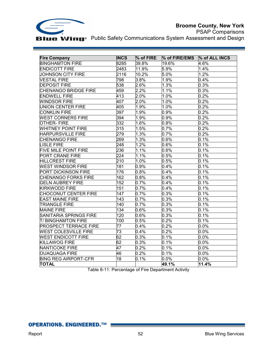

PSAP Comparisons **Blue Wing**<sup>®</sup> Public Safety Communications System Assessment and Design

| <b>Fire Company</b>          | <b>INCS</b>     | $%$ of FIRE | $%$ of FIRE/EMS | % of ALL INCS |
|------------------------------|-----------------|-------------|-----------------|---------------|
| <b>BINGHAMTON FIRE</b>       | 8285            | 39.8%       | 19.6%           | 4.6%          |
| <b>ENDICOTT FIRE</b>         | 2483            | 11.9%       | 5.9%            | 1.4%          |
| <b>JOHNSON CITY FIRE</b>     | 2116            | 10.2%       | 5.0%            | 1.2%          |
| <b>VESTAL FIRE</b>           | 798             | 3.8%        | 1.9%            | 0.4%          |
| <b>DEPOSIT FIRE</b>          | 538             | 2.6%        | 1.3%            | 0.3%          |
| CHENANGO BRIDGE FIRE         | 459             | 2.2%        | 1.1%            | 0.3%          |
| <b>ENDWELL FIRE</b>          | 413             | $2.0\%$     | 1.0%            | 0.2%          |
| <b>WINDSOR FIRE</b>          | 407             | 2.0%        | 1.0%            | 0.2%          |
| <b>UNION CENTER FIRE</b>     | 405             | 1.9%        | 1.0%            | 0.2%          |
| <b>CONKLIN FIRE</b>          | 397             | 1.9%        | 0.9%            | 0.2%          |
| <b>WEST CORNERS FIRE</b>     | 394             | 1.9%        | 0.9%            | 0.2%          |
| <b>OTHER-FIRE</b>            | 332             | 1.6%        | 0.8%            | 0.2%          |
| <b>WHITNEY POINT FIRE</b>    | 315             | 1.5%        | 0.7%            | 0.2%          |
| <b>HARPURSVILLE FIRE</b>     | 279             | 1.3%        | 0.7%            | 0.2%          |
| CHENANGO FIRE                | 269             | 1.3%        | 0.6%            | 0.1%          |
| <b>LISLE FIRE</b>            | 248             | 1.2%        | 0.6%            | 0.1%          |
| <b>FIVE MILE POINT FIRE</b>  | 236             | 1.1%        | 0.6%            | 0.1%          |
| PORT CRANE FIRE              | 224             | 1.1%        | 0.5%            | 0.1%          |
| <b>HILLCREST FIRE</b>        | 210             | 1.0%        | 0.5%            | 0.1%          |
| <b>WEST WINDSOR FIRE</b>     | 181             | 0.9%        | 0.4%            | 0.1%          |
| <b>PORT DICKINSON FIRE</b>   | 176             | 0.8%        | 0.4%            | 0.1%          |
| <b>CHENANGO FORKS FIRE</b>   | 162             | 0.8%        | 0.4%            | 0.1%          |
| <b>GELN AUBREY FIRE</b>      | 152             | 0.7%        | 0.4%            | 0.1%          |
| <b>KIRKWODD FIRE</b>         | 151             | 0.7%        | 0.4%            | 0.1%          |
| <b>CHOCONUT CENTER FIRE</b>  | 147             | 0.7%        | 0.3%            | 0.1%          |
| <b>EAST MAINE FIRE</b>       | 143             | 0.7%        | 0.3%            | 0.1%          |
| <b>TRIANGLE FIRE</b>         | 140             | 0.7%        | 0.3%            | 0.1%          |
| <b>MAINE FIRE</b>            | 134             | 0.6%        | 0.3%            | 0.1%          |
| SANITARIA SPRINGS FIRE       | 120             | $0.6\%$     | 0.3%            | 0.1%          |
| <b>T/BINGHAMTON FIRE</b>     | 100             | 0.5%        | 0.2%            | 0.1%          |
| <b>PROSPECT TERRACE FIRE</b> | 77              | 0.4%        | 0.2%            | 0.0%          |
| <b>WEST COLESVILLE FIRE</b>  | 73              | 0.4%        | 0.2%            | 0.0%          |
| <b>WEST ENDICOTT FIRE</b>    | 62              | 0.3%        | 0.1%            | 0.0%          |
| <b>KILLAWOG FIRE</b>         | 62              | 0.3%        | 0.1%            | 0.0%          |
| NANTICOKE FIRE               | 47              | 0.2%        | 0.1%            | 0.0%          |
| <b>OUAQUAGA FIRE</b>         | 46              | 0.2%        | 0.1%            | $0.0\%$       |
| <b>BING REG AIRPORT-CFR</b>  | $\overline{18}$ | 0.1%        | $0.0\%$         | $0.0\%$       |
| <b>TOTAL</b>                 |                 |             | 49.1%           | 11.4%         |

Table 8-11: Percentage of Fire Department Activity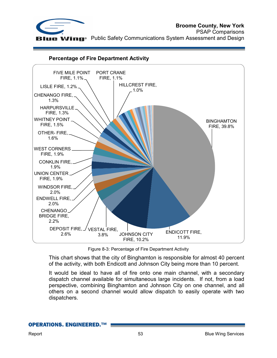



#### **Percentage of Fire Department Activity**

Figure 8-3: Percentage of Fire Department Activity

This chart shows that the city of Binghamton is responsible for almost 40 percent of the activity, with both Endicott and Johnson City being more than 10 percent.

It would be ideal to have all of fire onto one main channel, with a secondary dispatch channel available for simultaneous large incidents. If not, from a load perspective, combining Binghamton and Johnson City on one channel, and all others on a second channel would allow dispatch to easily operate with two dispatchers.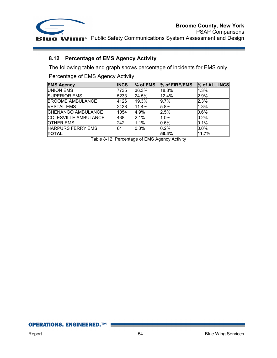

## **8.12 Percentage of EMS Agency Activity**

The following table and graph shows percentage of incidents for EMS only.

Percentage of EMS Agency Activity

| <b>EMS Agency</b>        | <b>INCS</b> |       | $\%$ of EMS $\%$ of FIRE/EMS | % of ALL INCS |
|--------------------------|-------------|-------|------------------------------|---------------|
| UNION EMS                | 7735        | 36.3% | 18.3%                        | 4.3%          |
| <b>SUPERIOR EMS</b>      | 5233        | 24.5% | 12.4%                        | 2.9%          |
| <b>BROOME AMBULANCE</b>  | 4126        | 19.3% | 9.7%                         | 2.3%          |
| <b>VESTAL EMS</b>        | 2438        | 11.4% | 5.8%                         | 1.3%          |
| CHENANGO AMBULANCE       | 1054        | 4.9%  | 2.5%                         | 0.6%          |
| COLESVILLE AMBULANCE     | 438         | 2.1%  | 1.0%                         | 0.2%          |
| <b>OTHER EMS</b>         | 242         | 1.1%  | 0.6%                         | 0.1%          |
| <b>HARPURS FERRY EMS</b> | 64          | 0.3%  | 0.2%                         | 0.0%          |
| <b>TOTAL</b>             |             |       | 50.4%                        | 11.7%         |

Table 8-12: Percentage of EMS Agency Activity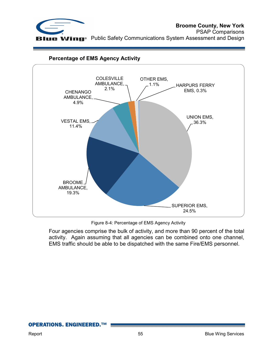



## **Percentage of EMS Agency Activity**

Figure 8-4: Percentage of EMS Agency Activity

Four agencies comprise the bulk of activity, and more than 90 percent of the total activity. Again assuming that all agencies can be combined onto one channel, EMS traffic should be able to be dispatched with the same Fire/EMS personnel.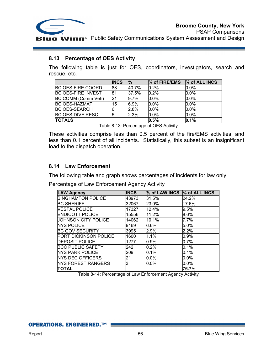

#### **8.13 Percentage of OES Activity**

The following table is just for OES, coordinators, investigators, search and rescue, etc.

|                           | <b>INCS</b> | $\frac{1}{2}$ | % of FIRE/EMS | % of ALL INCS |
|---------------------------|-------------|---------------|---------------|---------------|
| <b>BC OES-FIRE COORD</b>  | 88          | 40.7%         | 0.2%          | 0.0%          |
| <b>BC OES-FIRE INVEST</b> | 181         | 37.5%         | 0.2%          | $0.0\%$       |
| BC COMM (Comm Veh)        | 21          | 9.7%          | $0.0\%$       | 0.0%          |
| <b>BC OES-HAZMAT</b>      | 15          | 6.9%          | $0.0\%$       | 0.0%          |
| <b>BC OES-SEARCH</b>      | 6           | 2.8%          | $0.0\%$       | 0.0%          |
| <b>BC OES-DIVE RESC</b>   |             | 2.3%          | $0.0\%$       | $0.0\%$       |
| <b>TOTALS</b>             |             |               | 0.5%          | 0.1%          |

Table 8-13: Percentage of OES Activity

These activities comprise less than 0.5 percent of the fire/EMS activities, and less than 0.1 percent of all incidents. Statistically, this subset is an insignificant load to the dispatch operation.

## **8.14 Law Enforcement**

The following table and graph shows percentages of incidents for law only.

Percentage of Law Enforcement Agency Activity

| <b>LAW Agency</b>         | <b>INCS</b> | % of LAW INCS % of ALL INCS |         |
|---------------------------|-------------|-----------------------------|---------|
|                           |             |                             |         |
| <b>BINGHAMTON POLICE</b>  | 43973       | 31.5%                       | 24.2%   |
| <b>BC SHERIFF</b>         | 32067       | 23.0%                       | 17.6%   |
| <b>VESTAL POLICE</b>      | 17327       | 12.4%                       | 9.5%    |
| <b>ENDICOTT POLICE</b>    | 15556       | 11.2%                       | 8.6%    |
| JOHNSON CITY POLICE       | 14062       | 10.1%                       | 7.7%    |
| <b>NYS POLICE</b>         | 9169        | 6.6%                        | 5.0%    |
| <b>BC GOV SECURITY</b>    | 3995        | 2.9%                        | 2.2%    |
| PORT DICKINSON POLICE     | 1600        | 1.1%                        | 0.9%    |
| <b>DEPOSIT POLICE</b>     | 1277        | 0.9%                        | 0.7%    |
| <b>BCC PUBLIC SAFETY</b>  | 242         | 0.2%                        | 0.1%    |
| NYS PARK POLICE           | 209         | 0.1%                        | 0.1%    |
| NYS DEC OFFICERS          | 21          | 0.0%                        | $0.0\%$ |
| <b>NYS FOREST RANGERS</b> | З           | 0.0%                        | $0.0\%$ |
| ΤΟΤΑL                     |             |                             | 76.7%   |

Table 8-14: Percentage of Law Enforcement Agency Activity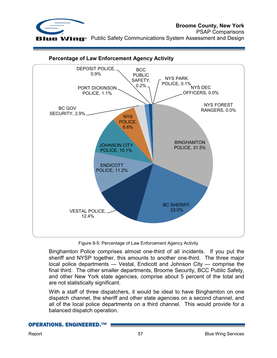



## **Percentage of Law Enforcement Agency Activity**

Figure 8-5: Percentage of Law Enforcement Agency Activity

Binghamton Police comprises almost one-third of all incidents. If you put the sheriff and NYSP together, this amounts to another one-third. The three major local police departments — Vestal, Endicott and Johnson City — comprise the final third. The other smaller departments, Broome Security, BCC Public Safety, and other New York state agencies, comprise about 5 percent of the total and are not statistically significant.

With a staff of three dispatchers, it would be ideal to have Binghamton on one dispatch channel, the sheriff and other state agencies on a second channel, and all of the local police departments on a third channel. This would provide for a balanced dispatch operation.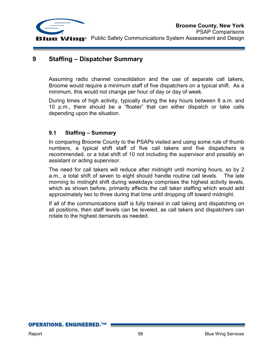

## **9 Staffing – Dispatcher Summary**

Assuming radio channel consolidation and the use of separate call takers, Broome would require a minimum staff of five dispatchers on a typical shift. As a minimum, this would not change per hour of day or day of week.

During times of high activity, typically during the key hours between 8 a.m. and 10 p.m., there should be a "floater" that can either dispatch or take calls depending upon the situation.

## **9.1 Staffing – Summary**

In comparing Broome County to the PSAPs visited and using some rule of thumb numbers, a typical shift staff of five call takers and five dispatchers is recommended, or a total shift of 10 not including the supervisor and possibly an assistant or acting supervisor.

The need for call takers will reduce after midnight until morning hours, so by 2 a.m., a total shift of seven to eight should handle routine call levels. The late morning to midnight shift during weekdays comprises the highest activity levels, which as shown before, primarily affects the call taker staffing which would add approximately two to three during that time until dropping off toward midnight.

If all of the communications staff is fully trained in call taking and dispatching on all positions, then staff levels can be leveled, as call takers and dispatchers can rotate to the highest demands as needed.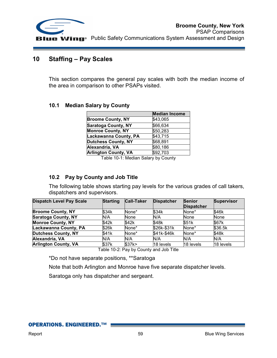

## **10 Staffing – Pay Scales**

This section compares the general pay scales with both the median income of the area in comparison to other PSAPs visited.

## **10.1 Median Salary by County**

|                             | <b>Median Income</b> |
|-----------------------------|----------------------|
| <b>Broome County, NY</b>    | \$43,065             |
| <b>Saratoga County, NY</b>  | \$66,634             |
| <b>Monroe County, NY</b>    | \$50,283             |
| Lackawanna County, PA       | \$43,715             |
| <b>Dutchess County, NY</b>  | \$68,891             |
| Alexandria, VA              | \$80,186             |
| <b>Arlington County, VA</b> | \$92,703             |

Table 10-1: Median Salary by County

## **10.2 Pay by County and Job Title**

The following table shows starting pay levels for the various grades of call takers, dispatchers and supervisors.

| Dispatch Level Pay Scale    | <b>Starting</b> | <b>Call-Taker</b> | <b>Dispatcher</b> | <b>Senior</b><br><b>Dispatcher</b> | <b>Supervisor</b> |
|-----------------------------|-----------------|-------------------|-------------------|------------------------------------|-------------------|
| <b>Broome County, NY</b>    | \$34k           | None*             | \$34k             | None*                              | \$46k             |
| <b>Saratoga County, NY</b>  | N/A             | None              | N/A               | None                               | None              |
| <b>Monroe County, NY</b>    | \$42k           | \$42k             | \$48k             | \$51k                              | \$67k             |
| Lackawanna County, PA       | \$26k           | None*             | \$26k-\$31k       | None*                              | \$36.5k           |
| <b>Dutchess County, NY</b>  | \$41k           | None*             | \$41k-\$46k       | None*                              | \$48k             |
| Alexandria, VA              | N/A             | N/A               | N/A               | N/A                                | N/A               |
| <b>Arlington County, VA</b> | \$37k           | \$37k>            | 18 levels         | 18 levels                          | 18 levels         |

Table 10-2: Pay by County and Job Title

\*Do not have separate positions, \*\*Saratoga

Note that both Arlington and Monroe have five separate dispatcher levels.

Saratoga only has dispatcher and sergeant.